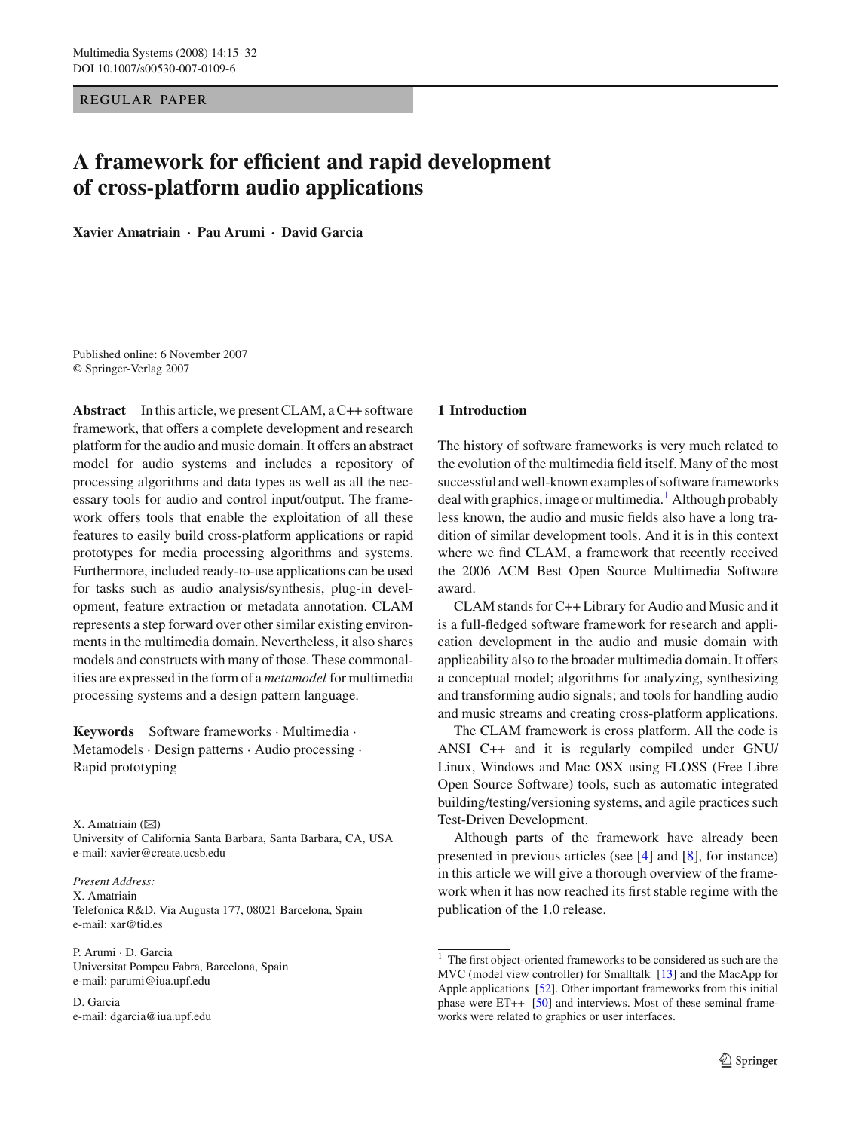REGULAR PAPER

# **A framework for efficient and rapid development of cross-platform audio applications**

**Xavier Amatriain · Pau Arumi · David Garcia**

Published online: 6 November 2007 © Springer-Verlag 2007

**Abstract** In this article, we present CLAM, a C++ software framework, that offers a complete development and research platform for the audio and music domain. It offers an abstract model for audio systems and includes a repository of processing algorithms and data types as well as all the necessary tools for audio and control input/output. The framework offers tools that enable the exploitation of all these features to easily build cross-platform applications or rapid prototypes for media processing algorithms and systems. Furthermore, included ready-to-use applications can be used for tasks such as audio analysis/synthesis, plug-in development, feature extraction or metadata annotation. CLAM represents a step forward over other similar existing environments in the multimedia domain. Nevertheless, it also shares models and constructs with many of those. These commonalities are expressed in the form of a *metamodel* for multimedia processing systems and a design pattern language.

**Keywords** Software frameworks · Multimedia · Metamodels · Design patterns · Audio processing · Rapid prototyping

X. Amatriain  $(\boxtimes)$ 

University of California Santa Barbara, Santa Barbara, CA, USA e-mail: xavier@create.ucsb.edu

*Present Address:* X. Amatriain Telefonica R&D, Via Augusta 177, 08021 Barcelona, Spain e-mail: xar@tid.es

P. Arumi · D. Garcia Universitat Pompeu Fabra, Barcelona, Spain e-mail: parumi@iua.upf.edu

D. Garcia e-mail: dgarcia@iua.upf.edu

# **1 Introduction**

The history of software frameworks is very much related to the evolution of the multimedia field itself. Many of the most successful and well-known examples of software frameworks deal with graphics, image or multimedia.<sup>[1](#page-0-0)</sup> Although probably less known, the audio and music fields also have a long tradition of similar development tools. And it is in this context where we find CLAM, a framework that recently received the 2006 ACM Best Open Source Multimedia Software award.

CLAM stands for C++ Library for Audio and Music and it is a full-fledged software framework for research and application development in the audio and music domain with applicability also to the broader multimedia domain. It offers a conceptual model; algorithms for analyzing, synthesizing and transforming audio signals; and tools for handling audio and music streams and creating cross-platform applications.

The CLAM framework is cross platform. All the code is ANSI C++ and it is regularly compiled under GNU/ Linux, Windows and Mac OSX using FLOSS (Free Libre Open Source Software) tools, such as automatic integrated building/testing/versioning systems, and agile practices such Test-Driven Development.

Although parts of the framework have already been presented in previous articles (see [\[4\]](#page-15-0) and [\[8](#page-15-1)], for instance) in this article we will give a thorough overview of the framework when it has now reached its first stable regime with the publication of the 1.0 release.

<span id="page-0-0"></span><sup>1</sup> The first object-oriented frameworks to be considered as such are the MVC (model view controller) for Smalltalk [\[13\]](#page-16-0) and the MacApp for Apple applications [\[52](#page-17-0)]. Other important frameworks from this initial phase were ET++ [\[50](#page-16-1)] and interviews. Most of these seminal frameworks were related to graphics or user interfaces.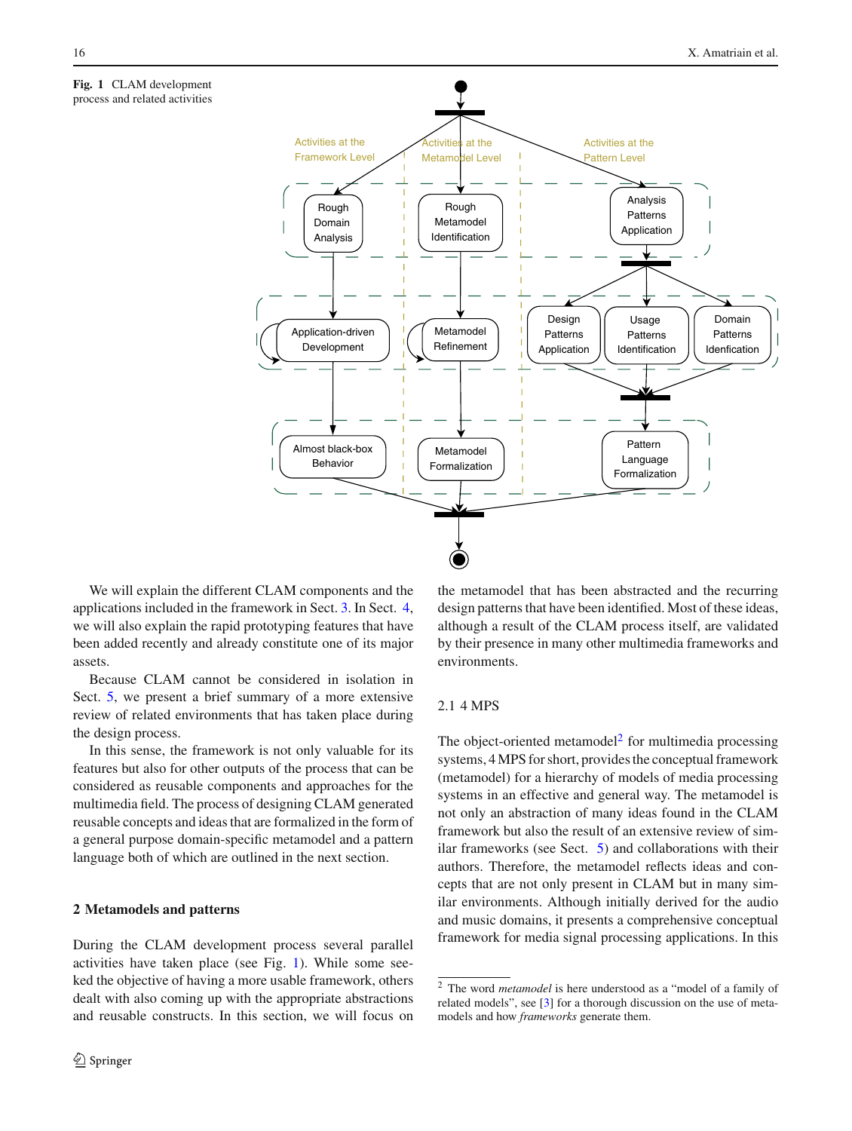<span id="page-1-0"></span>**Fig. 1** CLAM development process and related activities



We will explain the different CLAM components and the applications included in the framework in Sect. [3.](#page-7-0) In Sect. [4,](#page-10-0) we will also explain the rapid prototyping features that have been added recently and already constitute one of its major assets.

Because CLAM cannot be considered in isolation in Sect. [5,](#page-14-0) we present a brief summary of a more extensive review of related environments that has taken place during the design process.

In this sense, the framework is not only valuable for its features but also for other outputs of the process that can be considered as reusable components and approaches for the multimedia field. The process of designing CLAM generated reusable concepts and ideas that are formalized in the form of a general purpose domain-specific metamodel and a pattern language both of which are outlined in the next section.

## **2 Metamodels and patterns**

During the CLAM development process several parallel activities have taken place (see Fig. [1\)](#page-1-0). While some seeked the objective of having a more usable framework, others dealt with also coming up with the appropriate abstractions and reusable constructs. In this section, we will focus on

the metamodel that has been abstracted and the recurring design patterns that have been identified. Most of these ideas, although a result of the CLAM process itself, are validated by their presence in many other multimedia frameworks and environments.

# <span id="page-1-2"></span>2.1 4 MPS

The object-oriented metamodel $2$  for multimedia processing systems, 4 MPS for short, provides the conceptual framework (metamodel) for a hierarchy of models of media processing systems in an effective and general way. The metamodel is not only an abstraction of many ideas found in the CLAM framework but also the result of an extensive review of similar frameworks (see Sect. [5\)](#page-14-0) and collaborations with their authors. Therefore, the metamodel reflects ideas and concepts that are not only present in CLAM but in many similar environments. Although initially derived for the audio and music domains, it presents a comprehensive conceptual framework for media signal processing applications. In this

<span id="page-1-1"></span><sup>2</sup> The word *metamodel* is here understood as a "model of a family of related models", see [\[3](#page-15-2)] for a thorough discussion on the use of metamodels and how *frameworks* generate them.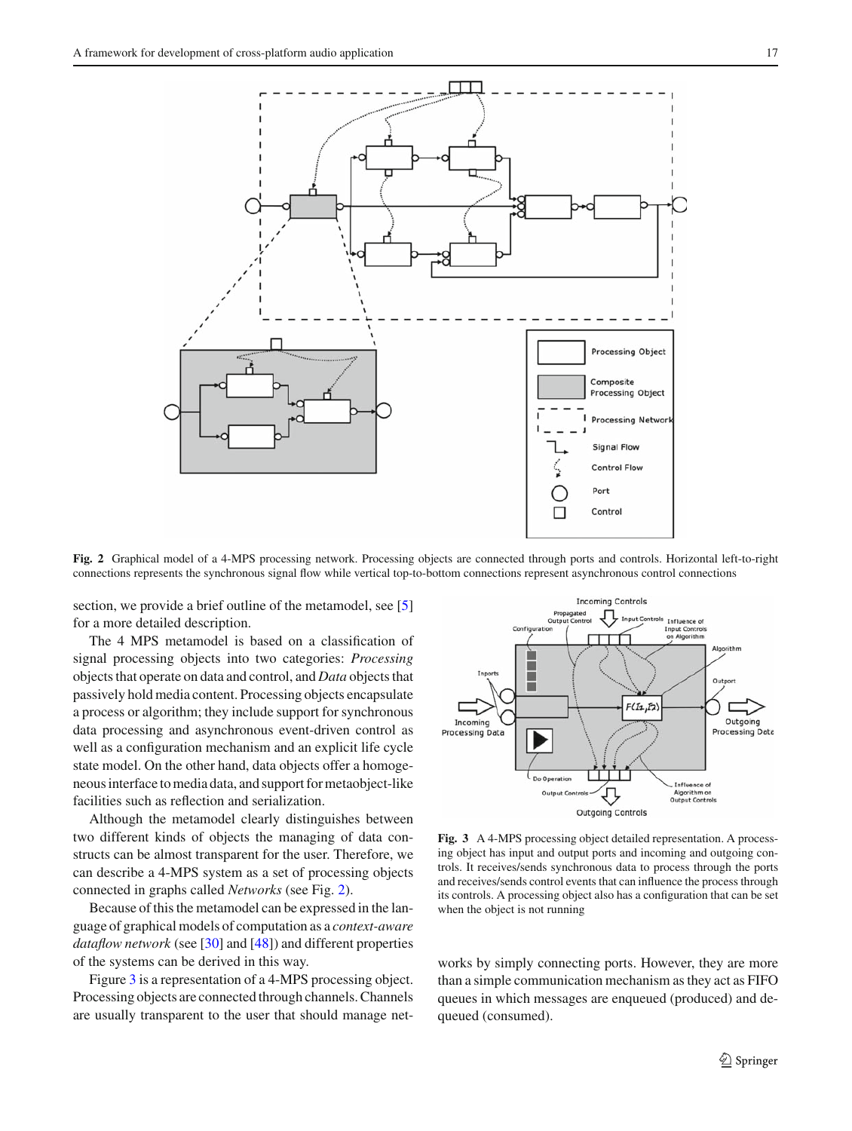

<span id="page-2-0"></span>**Fig. 2** Graphical model of a 4-MPS processing network. Processing objects are connected through ports and controls. Horizontal left-to-right connections represents the synchronous signal flow while vertical top-to-bottom connections represent asynchronous control connections

section, we provide a brief outline of the metamodel, see [\[5\]](#page-15-3) for a more detailed description.

The 4 MPS metamodel is based on a classification of signal processing objects into two categories: *Processing* objects that operate on data and control, and *Data* objects that passively hold media content. Processing objects encapsulate a process or algorithm; they include support for synchronous data processing and asynchronous event-driven control as well as a configuration mechanism and an explicit life cycle state model. On the other hand, data objects offer a homogeneous interface to media data, and support for metaobject-like facilities such as reflection and serialization.

Although the metamodel clearly distinguishes between two different kinds of objects the managing of data constructs can be almost transparent for the user. Therefore, we can describe a 4-MPS system as a set of processing objects connected in graphs called *Networks* (see Fig. [2\)](#page-2-0).

Because of this the metamodel can be expressed in the language of graphical models of computation as a *context-aware dataflow network* (see [\[30](#page-16-2)] and [\[48](#page-16-3)]) and different properties of the systems can be derived in this way.

Figure [3](#page-2-1) is a representation of a 4-MPS processing object. Processing objects are connected through channels. Channels are usually transparent to the user that should manage net-



<span id="page-2-1"></span>**Fig. 3** A 4-MPS processing object detailed representation. A processing object has input and output ports and incoming and outgoing controls. It receives/sends synchronous data to process through the ports and receives/sends control events that can influence the process through its controls. A processing object also has a configuration that can be set when the object is not running

works by simply connecting ports. However, they are more than a simple communication mechanism as they act as FIFO queues in which messages are enqueued (produced) and dequeued (consumed).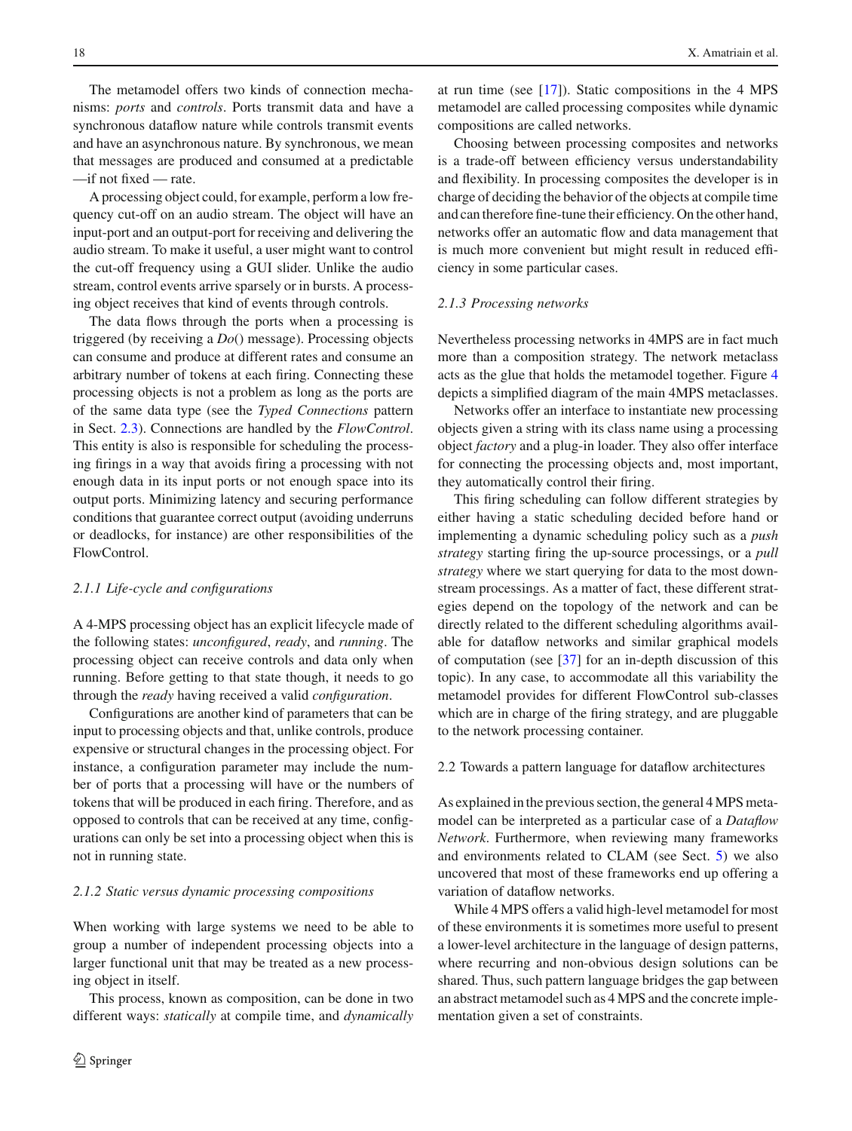The metamodel offers two kinds of connection mechanisms: *ports* and *controls*. Ports transmit data and have a synchronous dataflow nature while controls transmit events and have an asynchronous nature. By synchronous, we mean that messages are produced and consumed at a predictable —if not fixed — rate.

A processing object could, for example, perform a low frequency cut-off on an audio stream. The object will have an input-port and an output-port for receiving and delivering the audio stream. To make it useful, a user might want to control the cut-off frequency using a GUI slider. Unlike the audio stream, control events arrive sparsely or in bursts. A processing object receives that kind of events through controls.

The data flows through the ports when a processing is triggered (by receiving a *Do*() message). Processing objects can consume and produce at different rates and consume an arbitrary number of tokens at each firing. Connecting these processing objects is not a problem as long as the ports are of the same data type (see the *Typed Connections* pattern in Sect. [2.3\)](#page-5-0). Connections are handled by the *FlowControl*. This entity is also is responsible for scheduling the processing firings in a way that avoids firing a processing with not enough data in its input ports or not enough space into its output ports. Minimizing latency and securing performance conditions that guarantee correct output (avoiding underruns or deadlocks, for instance) are other responsibilities of the FlowControl.

#### <span id="page-3-0"></span>*2.1.1 Life-cycle and configurations*

A 4-MPS processing object has an explicit lifecycle made of the following states: *unconfigured*, *ready*, and *running*. The processing object can receive controls and data only when running. Before getting to that state though, it needs to go through the *ready* having received a valid *configuration*.

Configurations are another kind of parameters that can be input to processing objects and that, unlike controls, produce expensive or structural changes in the processing object. For instance, a configuration parameter may include the number of ports that a processing will have or the numbers of tokens that will be produced in each firing. Therefore, and as opposed to controls that can be received at any time, configurations can only be set into a processing object when this is not in running state.

#### *2.1.2 Static versus dynamic processing compositions*

When working with large systems we need to be able to group a number of independent processing objects into a larger functional unit that may be treated as a new processing object in itself.

This process, known as composition, can be done in two different ways: *statically* at compile time, and *dynamically* at run time (see [\[17\]](#page-16-4)). Static compositions in the 4 MPS metamodel are called processing composites while dynamic compositions are called networks.

Choosing between processing composites and networks is a trade-off between efficiency versus understandability and flexibility. In processing composites the developer is in charge of deciding the behavior of the objects at compile time and can therefore fine-tune their efficiency. On the other hand, networks offer an automatic flow and data management that is much more convenient but might result in reduced efficiency in some particular cases.

## *2.1.3 Processing networks*

Nevertheless processing networks in 4MPS are in fact much more than a composition strategy. The network metaclass acts as the glue that holds the metamodel together. Figure [4](#page-4-0) depicts a simplified diagram of the main 4MPS metaclasses.

Networks offer an interface to instantiate new processing objects given a string with its class name using a processing object *factory* and a plug-in loader. They also offer interface for connecting the processing objects and, most important, they automatically control their firing.

This firing scheduling can follow different strategies by either having a static scheduling decided before hand or implementing a dynamic scheduling policy such as a *push strategy* starting firing the up-source processings, or a *pull strategy* where we start querying for data to the most downstream processings. As a matter of fact, these different strategies depend on the topology of the network and can be directly related to the different scheduling algorithms available for dataflow networks and similar graphical models of computation (see [\[37](#page-16-5)] for an in-depth discussion of this topic). In any case, to accommodate all this variability the metamodel provides for different FlowControl sub-classes which are in charge of the firing strategy, and are pluggable to the network processing container.

#### <span id="page-3-1"></span>2.2 Towards a pattern language for dataflow architectures

As explained in the previous section, the general 4MPS metamodel can be interpreted as a particular case of a *Dataflow Network*. Furthermore, when reviewing many frameworks and environments related to CLAM (see Sect. [5\)](#page-14-0) we also uncovered that most of these frameworks end up offering a variation of dataflow networks.

While 4 MPS offers a valid high-level metamodel for most of these environments it is sometimes more useful to present a lower-level architecture in the language of design patterns, where recurring and non-obvious design solutions can be shared. Thus, such pattern language bridges the gap between an abstract metamodel such as 4 MPS and the concrete implementation given a set of constraints.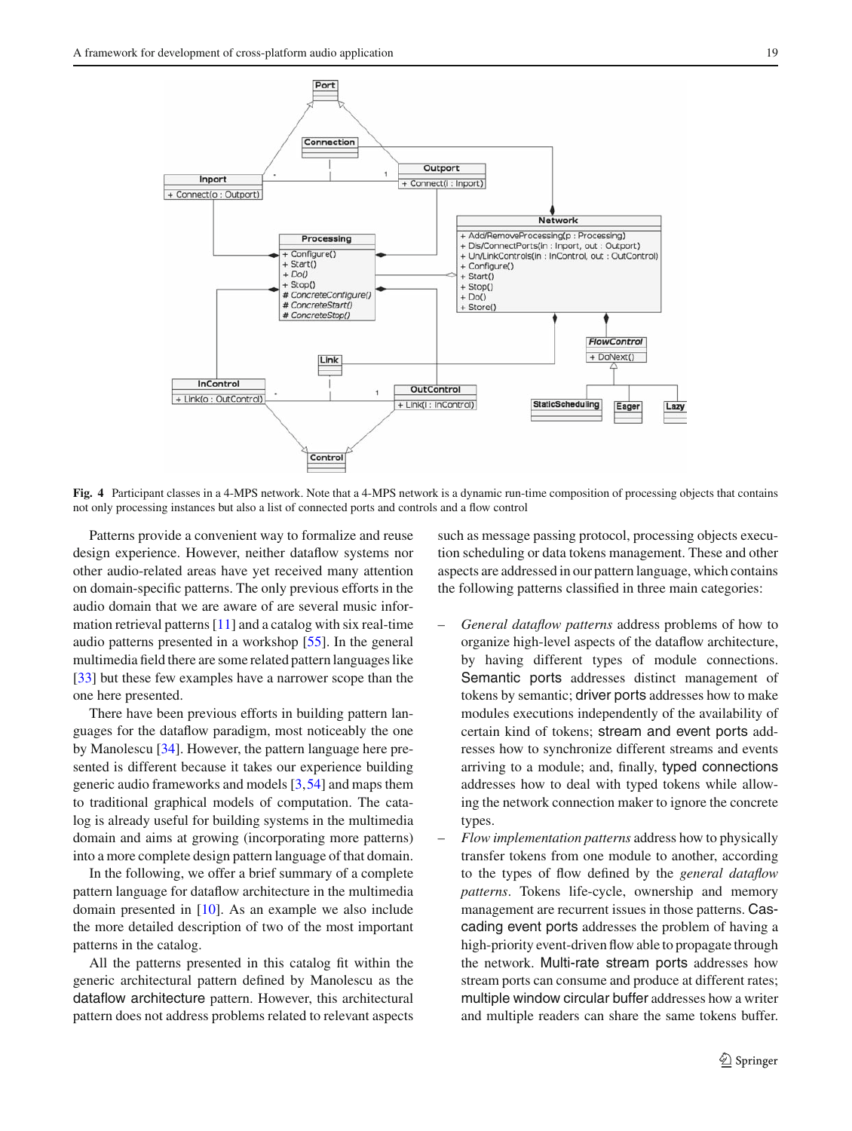

<span id="page-4-0"></span>**Fig. 4** Participant classes in a 4-MPS network. Note that a 4-MPS network is a dynamic run-time composition of processing objects that contains not only processing instances but also a list of connected ports and controls and a flow control

Patterns provide a convenient way to formalize and reuse design experience. However, neither dataflow systems nor other audio-related areas have yet received many attention on domain-specific patterns. The only previous efforts in the audio domain that we are aware of are several music information retrieval patterns [\[11\]](#page-16-6) and a catalog with six real-time audio patterns presented in a workshop [\[55\]](#page-17-1). In the general multimedia field there are some related pattern languages like [\[33](#page-16-7)] but these few examples have a narrower scope than the one here presented.

There have been previous efforts in building pattern languages for the dataflow paradigm, most noticeably the one by Manolescu [\[34\]](#page-16-8). However, the pattern language here presented is different because it takes our experience building generic audio frameworks and models [\[3](#page-15-2),[54\]](#page-17-2) and maps them to traditional graphical models of computation. The catalog is already useful for building systems in the multimedia domain and aims at growing (incorporating more patterns) into a more complete design pattern language of that domain.

In the following, we offer a brief summary of a complete pattern language for dataflow architecture in the multimedia domain presented in [\[10\]](#page-16-9). As an example we also include the more detailed description of two of the most important patterns in the catalog.

All the patterns presented in this catalog fit within the generic architectural pattern defined by Manolescu as the dataflow architecture pattern. However, this architectural pattern does not address problems related to relevant aspects such as message passing protocol, processing objects execution scheduling or data tokens management. These and other aspects are addressed in our pattern language, which contains the following patterns classified in three main categories:

- *General dataflow patterns* address problems of how to organize high-level aspects of the dataflow architecture, by having different types of module connections. Semantic ports addresses distinct management of tokens by semantic; driver ports addresses how to make modules executions independently of the availability of certain kind of tokens; stream and event ports addresses how to synchronize different streams and events arriving to a module; and, finally, typed connections addresses how to deal with typed tokens while allowing the network connection maker to ignore the concrete types.
- *Flow implementation patterns* address how to physically transfer tokens from one module to another, according to the types of flow defined by the *general dataflow patterns*. Tokens life-cycle, ownership and memory management are recurrent issues in those patterns. Cascading event ports addresses the problem of having a high-priority event-driven flow able to propagate through the network. Multi-rate stream ports addresses how stream ports can consume and produce at different rates; multiple window circular buffer addresses how a writer and multiple readers can share the same tokens buffer.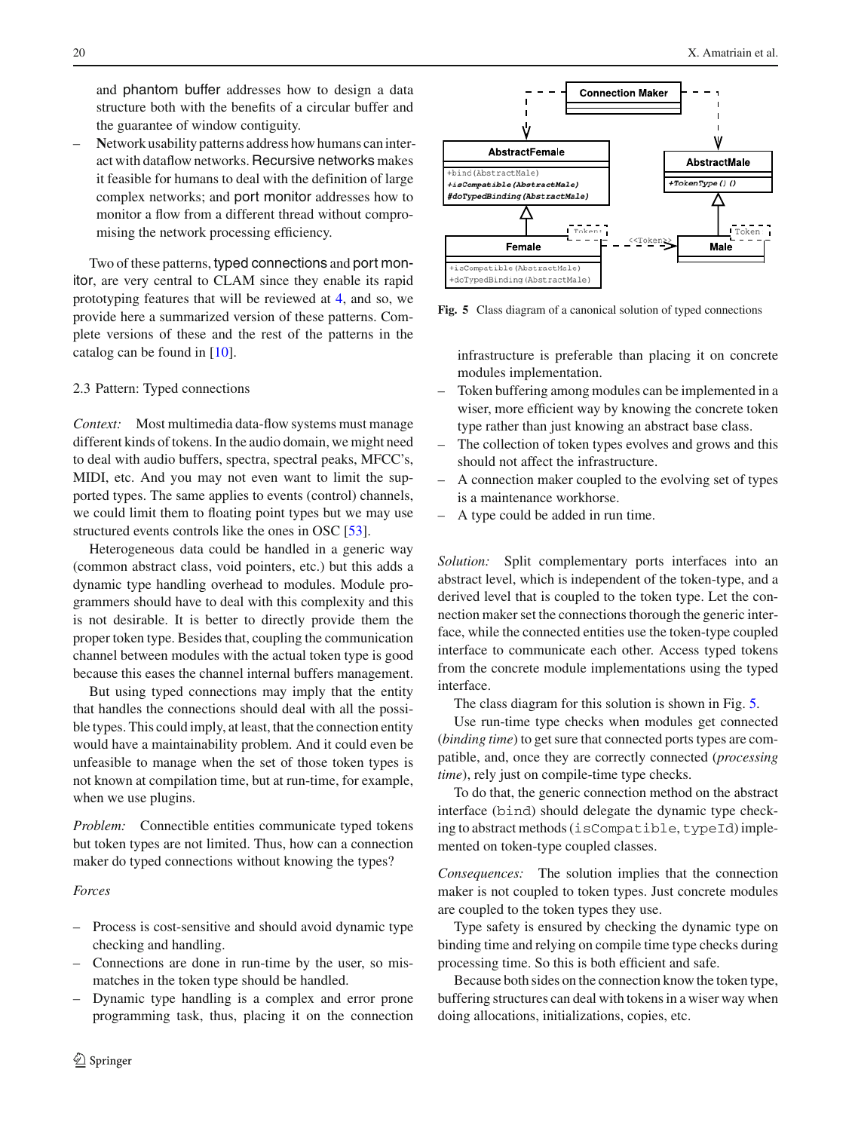and phantom buffer addresses how to design a data structure both with the benefits of a circular buffer and the guarantee of window contiguity.

– **N**etwork usability patterns address how humans can interact with dataflow networks. Recursive networks makes it feasible for humans to deal with the definition of large complex networks; and port monitor addresses how to monitor a flow from a different thread without compromising the network processing efficiency.

Two of these patterns, typed connections and port monitor, are very central to CLAM since they enable its rapid prototyping features that will be reviewed at [4,](#page-10-0) and so, we provide here a summarized version of these patterns. Complete versions of these and the rest of the patterns in the catalog can be found in [\[10\]](#page-16-9).

# <span id="page-5-0"></span>2.3 Pattern: Typed connections

*Context:* Most multimedia data-flow systems must manage different kinds of tokens. In the audio domain, we might need to deal with audio buffers, spectra, spectral peaks, MFCC's, MIDI, etc. And you may not even want to limit the supported types. The same applies to events (control) channels, we could limit them to floating point types but we may use structured events controls like the ones in OSC [\[53\]](#page-17-3).

Heterogeneous data could be handled in a generic way (common abstract class, void pointers, etc.) but this adds a dynamic type handling overhead to modules. Module programmers should have to deal with this complexity and this is not desirable. It is better to directly provide them the proper token type. Besides that, coupling the communication channel between modules with the actual token type is good because this eases the channel internal buffers management.

But using typed connections may imply that the entity that handles the connections should deal with all the possible types. This could imply, at least, that the connection entity would have a maintainability problem. And it could even be unfeasible to manage when the set of those token types is not known at compilation time, but at run-time, for example, when we use plugins.

*Problem:* Connectible entities communicate typed tokens but token types are not limited. Thus, how can a connection maker do typed connections without knowing the types?

# *Forces*

- Process is cost-sensitive and should avoid dynamic type checking and handling.
- Connections are done in run-time by the user, so mismatches in the token type should be handled.
- Dynamic type handling is a complex and error prone programming task, thus, placing it on the connection



<span id="page-5-1"></span>**Fig. 5** Class diagram of a canonical solution of typed connections

infrastructure is preferable than placing it on concrete modules implementation.

- Token buffering among modules can be implemented in a wiser, more efficient way by knowing the concrete token type rather than just knowing an abstract base class.
- The collection of token types evolves and grows and this should not affect the infrastructure.
- A connection maker coupled to the evolving set of types is a maintenance workhorse.
- A type could be added in run time.

*Solution:* Split complementary ports interfaces into an abstract level, which is independent of the token-type, and a derived level that is coupled to the token type. Let the connection maker set the connections thorough the generic interface, while the connected entities use the token-type coupled interface to communicate each other. Access typed tokens from the concrete module implementations using the typed interface.

The class diagram for this solution is shown in Fig. [5.](#page-5-1)

Use run-time type checks when modules get connected (*binding time*) to get sure that connected ports types are compatible, and, once they are correctly connected (*processing time*), rely just on compile-time type checks.

To do that, the generic connection method on the abstract interface (bind) should delegate the dynamic type checking to abstract methods (isCompatible, typeId) implemented on token-type coupled classes.

*Consequences:* The solution implies that the connection maker is not coupled to token types. Just concrete modules are coupled to the token types they use.

Type safety is ensured by checking the dynamic type on binding time and relying on compile time type checks during processing time. So this is both efficient and safe.

Because both sides on the connection know the token type, buffering structures can deal with tokens in a wiser way when doing allocations, initializations, copies, etc.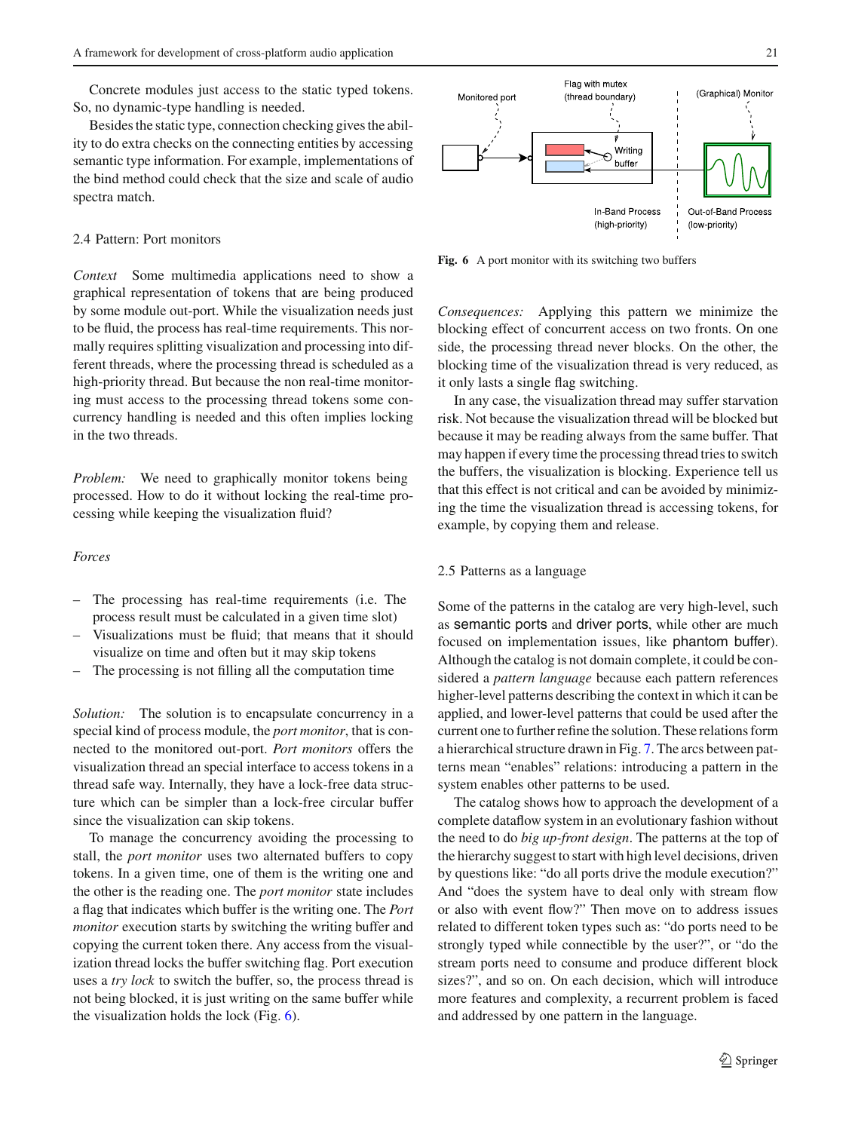Concrete modules just access to the static typed tokens. So, no dynamic-type handling is needed.

Besides the static type, connection checking gives the ability to do extra checks on the connecting entities by accessing semantic type information. For example, implementations of the bind method could check that the size and scale of audio spectra match.

# 2.4 Pattern: Port monitors

*Context* Some multimedia applications need to show a graphical representation of tokens that are being produced by some module out-port. While the visualization needs just to be fluid, the process has real-time requirements. This normally requires splitting visualization and processing into different threads, where the processing thread is scheduled as a high-priority thread. But because the non real-time monitoring must access to the processing thread tokens some concurrency handling is needed and this often implies locking in the two threads.

*Problem:* We need to graphically monitor tokens being processed. How to do it without locking the real-time processing while keeping the visualization fluid?

### *Forces*

- The processing has real-time requirements (i.e. The process result must be calculated in a given time slot)
- Visualizations must be fluid; that means that it should visualize on time and often but it may skip tokens
- The processing is not filling all the computation time

*Solution:* The solution is to encapsulate concurrency in a special kind of process module, the *port monitor*, that is connected to the monitored out-port. *Port monitors* offers the visualization thread an special interface to access tokens in a thread safe way. Internally, they have a lock-free data structure which can be simpler than a lock-free circular buffer since the visualization can skip tokens.

To manage the concurrency avoiding the processing to stall, the *port monitor* uses two alternated buffers to copy tokens. In a given time, one of them is the writing one and the other is the reading one. The *port monitor* state includes a flag that indicates which buffer is the writing one. The *Port monitor* execution starts by switching the writing buffer and copying the current token there. Any access from the visualization thread locks the buffer switching flag. Port execution uses a *try lock* to switch the buffer, so, the process thread is not being blocked, it is just writing on the same buffer while the visualization holds the lock (Fig. [6\)](#page-6-0).



<span id="page-6-0"></span>Fig. 6 A port monitor with its switching two buffers

*Consequences:* Applying this pattern we minimize the blocking effect of concurrent access on two fronts. On one side, the processing thread never blocks. On the other, the blocking time of the visualization thread is very reduced, as it only lasts a single flag switching.

In any case, the visualization thread may suffer starvation risk. Not because the visualization thread will be blocked but because it may be reading always from the same buffer. That may happen if every time the processing thread tries to switch the buffers, the visualization is blocking. Experience tell us that this effect is not critical and can be avoided by minimizing the time the visualization thread is accessing tokens, for example, by copying them and release.

## 2.5 Patterns as a language

Some of the patterns in the catalog are very high-level, such as semantic ports and driver ports, while other are much focused on implementation issues, like phantom buffer). Although the catalog is not domain complete, it could be considered a *pattern language* because each pattern references higher-level patterns describing the context in which it can be applied, and lower-level patterns that could be used after the current one to further refine the solution. These relations form a hierarchical structure drawn in Fig. [7.](#page-7-1) The arcs between patterns mean "enables" relations: introducing a pattern in the system enables other patterns to be used.

The catalog shows how to approach the development of a complete dataflow system in an evolutionary fashion without the need to do *big up-front design*. The patterns at the top of the hierarchy suggest to start with high level decisions, driven by questions like: "do all ports drive the module execution?" And "does the system have to deal only with stream flow or also with event flow?" Then move on to address issues related to different token types such as: "do ports need to be strongly typed while connectible by the user?", or "do the stream ports need to consume and produce different block sizes?", and so on. On each decision, which will introduce more features and complexity, a recurrent problem is faced and addressed by one pattern in the language.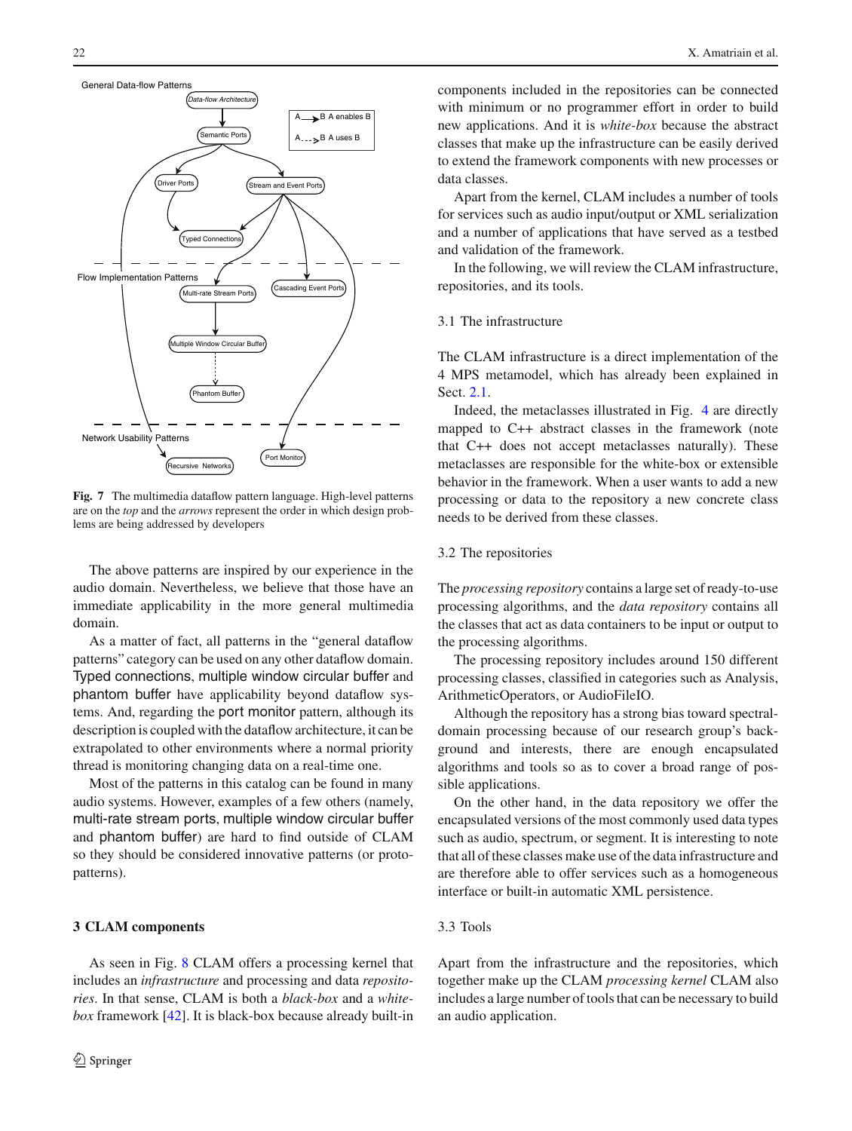

<span id="page-7-1"></span>**Fig. 7** The multimedia dataflow pattern language. High-level patterns are on the *top* and the *arrows* represent the order in which design problems are being addressed by developers

The above patterns are inspired by our experience in the audio domain. Nevertheless, we believe that those have an immediate applicability in the more general multimedia domain.

As a matter of fact, all patterns in the "general dataflow patterns" category can be used on any other dataflow domain. Typed connections, multiple window circular buffer and phantom buffer have applicability beyond dataflow systems. And, regarding the port monitor pattern, although its description is coupled with the dataflow architecture, it can be extrapolated to other environments where a normal priority thread is monitoring changing data on a real-time one.

Most of the patterns in this catalog can be found in many audio systems. However, examples of a few others (namely, multi-rate stream ports, multiple window circular buffer and phantom buffer) are hard to find outside of CLAM so they should be considered innovative patterns (or protopatterns).

# <span id="page-7-0"></span>**3 CLAM components**

As seen in Fig. [8](#page-8-0) CLAM offers a processing kernel that includes an *infrastructure* and processing and data *repositories*. In that sense, CLAM is both a *black-box* and a *whitebox* framework [\[42\]](#page-16-10). It is black-box because already built-in components included in the repositories can be connected with minimum or no programmer effort in order to build new applications. And it is *white-box* because the abstract classes that make up the infrastructure can be easily derived to extend the framework components with new processes or data classes.

Apart from the kernel, CLAM includes a number of tools for services such as audio input/output or XML serialization and a number of applications that have served as a testbed and validation of the framework.

In the following, we will review the CLAM infrastructure, repositories, and its tools.

## 3.1 The infrastructure

The CLAM infrastructure is a direct implementation of the 4 MPS metamodel, which has already been explained in Sect. [2.1.](#page-1-2)

Indeed, the metaclasses illustrated in Fig. [4](#page-4-0) are directly mapped to C++ abstract classes in the framework (note that C++ does not accept metaclasses naturally). These metaclasses are responsible for the white-box or extensible behavior in the framework. When a user wants to add a new processing or data to the repository a new concrete class needs to be derived from these classes.

#### 3.2 The repositories

The *processing repository* contains a large set of ready-to-use processing algorithms, and the *data repository* contains all the classes that act as data containers to be input or output to the processing algorithms.

The processing repository includes around 150 different processing classes, classified in categories such as Analysis, ArithmeticOperators, or AudioFileIO.

Although the repository has a strong bias toward spectraldomain processing because of our research group's background and interests, there are enough encapsulated algorithms and tools so as to cover a broad range of possible applications.

On the other hand, in the data repository we offer the encapsulated versions of the most commonly used data types such as audio, spectrum, or segment. It is interesting to note that all of these classes make use of the data infrastructure and are therefore able to offer services such as a homogeneous interface or built-in automatic XML persistence.

# 3.3 Tools

Apart from the infrastructure and the repositories, which together make up the CLAM *processing kernel* CLAM also includes a large number of tools that can be necessary to build an audio application.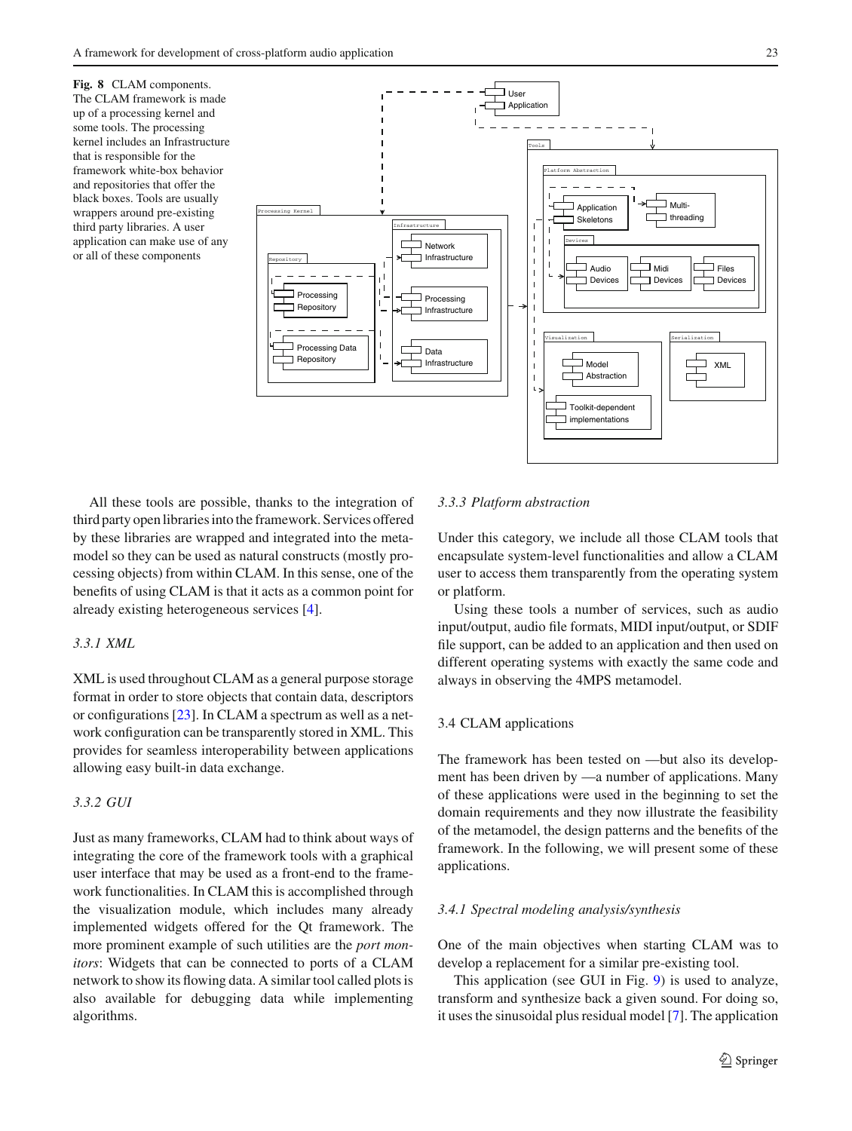<span id="page-8-0"></span>**Fig. 8** CLAM components. The CLAM framework is made up of a processing kernel and some tools. The processing kernel includes an Infrastructure that is responsible for the framework white-box behavior and repositories that offer the black boxes. Tools are usually wrappers around pre-existing third party libraries. A user application can make use of any or all of these components



All these tools are possible, thanks to the integration of third party open libraries into the framework. Services offered by these libraries are wrapped and integrated into the metamodel so they can be used as natural constructs (mostly processing objects) from within CLAM. In this sense, one of the benefits of using CLAM is that it acts as a common point for already existing heterogeneous services [\[4\]](#page-15-0).

#### *3.3.1 XML*

XML is used throughout CLAM as a general purpose storage format in order to store objects that contain data, descriptors or configurations [\[23\]](#page-16-11). In CLAM a spectrum as well as a network configuration can be transparently stored in XML. This provides for seamless interoperability between applications allowing easy built-in data exchange.

## *3.3.2 GUI*

Just as many frameworks, CLAM had to think about ways of integrating the core of the framework tools with a graphical user interface that may be used as a front-end to the framework functionalities. In CLAM this is accomplished through the visualization module, which includes many already implemented widgets offered for the Qt framework. The more prominent example of such utilities are the *port monitors*: Widgets that can be connected to ports of a CLAM network to show its flowing data. A similar tool called plots is also available for debugging data while implementing algorithms.

## *3.3.3 Platform abstraction*

Under this category, we include all those CLAM tools that encapsulate system-level functionalities and allow a CLAM user to access them transparently from the operating system or platform.

Using these tools a number of services, such as audio input/output, audio file formats, MIDI input/output, or SDIF file support, can be added to an application and then used on different operating systems with exactly the same code and always in observing the 4MPS metamodel.

# 3.4 CLAM applications

The framework has been tested on —but also its development has been driven by —a number of applications. Many of these applications were used in the beginning to set the domain requirements and they now illustrate the feasibility of the metamodel, the design patterns and the benefits of the framework. In the following, we will present some of these applications.

#### *3.4.1 Spectral modeling analysis/synthesis*

One of the main objectives when starting CLAM was to develop a replacement for a similar pre-existing tool.

This application (see GUI in Fig. [9\)](#page-9-0) is used to analyze, transform and synthesize back a given sound. For doing so, it uses the sinusoidal plus residual model [\[7](#page-15-4)]. The application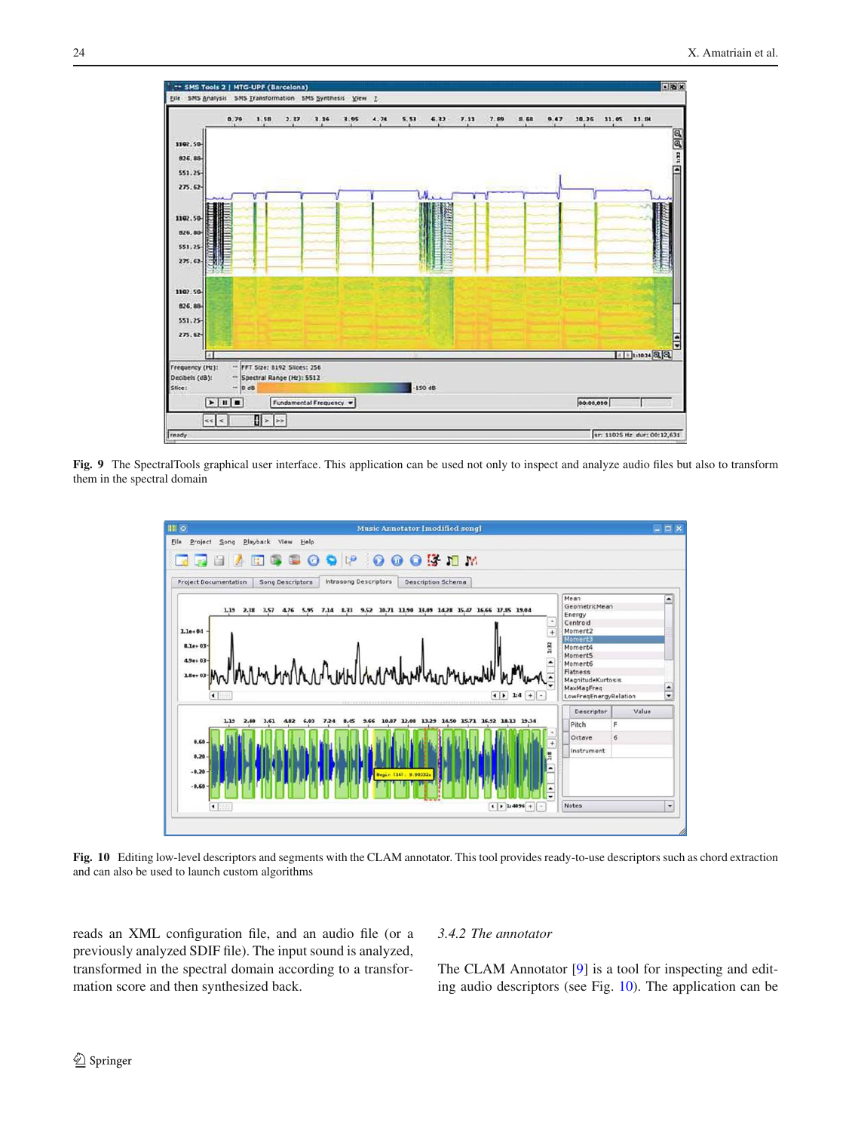

<span id="page-9-0"></span>**Fig. 9** The SpectralTools graphical user interface. This application can be used not only to inspect and analyze audio files but also to transform them in the spectral domain



<span id="page-9-1"></span>**Fig. 10** Editing low-level descriptors and segments with the CLAM annotator. This tool provides ready-to-use descriptors such as chord extraction and can also be used to launch custom algorithms

reads an XML configuration file, and an audio file (or a previously analyzed SDIF file). The input sound is analyzed, transformed in the spectral domain according to a transformation score and then synthesized back.

## *3.4.2 The annotator*

The CLAM Annotator [\[9](#page-15-5)] is a tool for inspecting and editing audio descriptors (see Fig. [10\)](#page-9-1). The application can be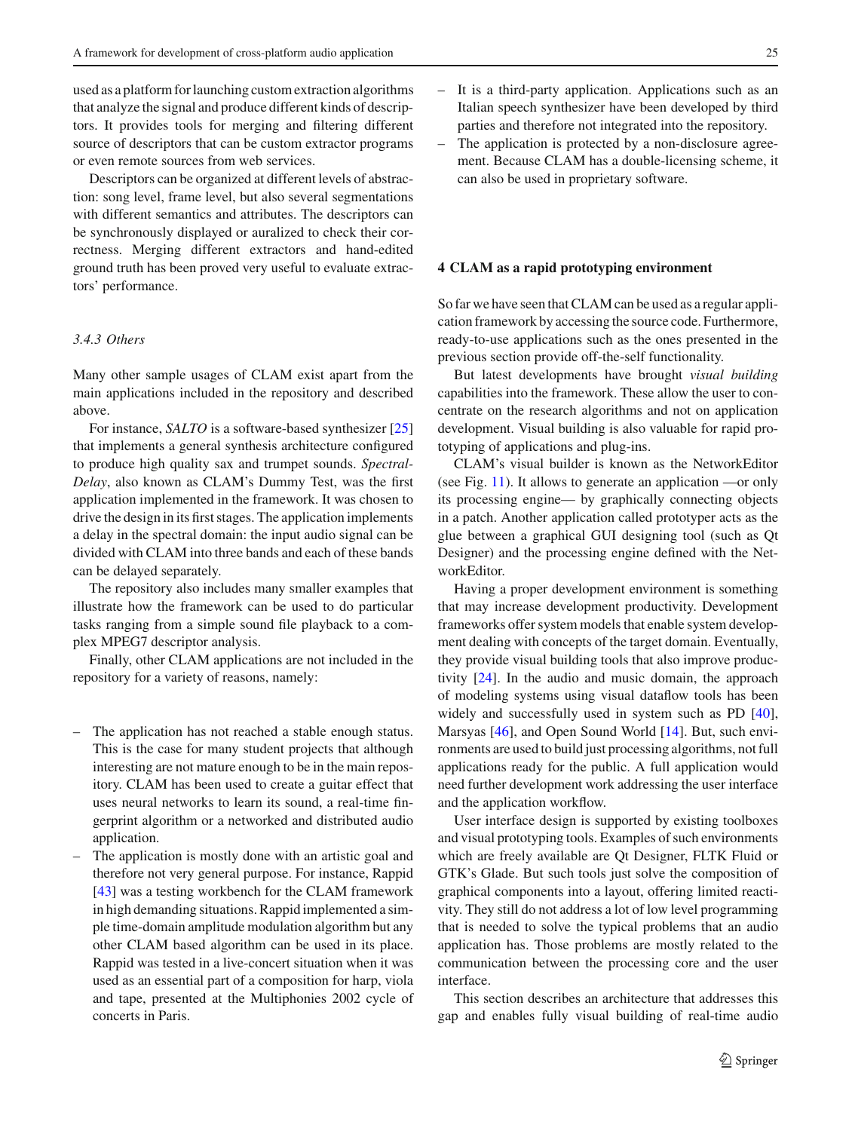used as a platform for launching custom extraction algorithms that analyze the signal and produce different kinds of descriptors. It provides tools for merging and filtering different source of descriptors that can be custom extractor programs or even remote sources from web services.

Descriptors can be organized at different levels of abstraction: song level, frame level, but also several segmentations with different semantics and attributes. The descriptors can be synchronously displayed or auralized to check their correctness. Merging different extractors and hand-edited ground truth has been proved very useful to evaluate extractors' performance.

# *3.4.3 Others*

Many other sample usages of CLAM exist apart from the main applications included in the repository and described above.

For instance, *SALTO* is a software-based synthesizer [\[25\]](#page-16-12) that implements a general synthesis architecture configured to produce high quality sax and trumpet sounds. *Spectral-Delay*, also known as CLAM's Dummy Test, was the first application implemented in the framework. It was chosen to drive the design in its first stages. The application implements a delay in the spectral domain: the input audio signal can be divided with CLAM into three bands and each of these bands can be delayed separately.

The repository also includes many smaller examples that illustrate how the framework can be used to do particular tasks ranging from a simple sound file playback to a complex MPEG7 descriptor analysis.

Finally, other CLAM applications are not included in the repository for a variety of reasons, namely:

- The application has not reached a stable enough status. This is the case for many student projects that although interesting are not mature enough to be in the main repository. CLAM has been used to create a guitar effect that uses neural networks to learn its sound, a real-time fingerprint algorithm or a networked and distributed audio application.
- The application is mostly done with an artistic goal and therefore not very general purpose. For instance, Rappid [\[43](#page-16-13)] was a testing workbench for the CLAM framework in high demanding situations. Rappid implemented a simple time-domain amplitude modulation algorithm but any other CLAM based algorithm can be used in its place. Rappid was tested in a live-concert situation when it was used as an essential part of a composition for harp, viola and tape, presented at the Multiphonies 2002 cycle of concerts in Paris.
- It is a third-party application. Applications such as an Italian speech synthesizer have been developed by third parties and therefore not integrated into the repository.
- The application is protected by a non-disclosure agreement. Because CLAM has a double-licensing scheme, it can also be used in proprietary software.

#### <span id="page-10-0"></span>**4 CLAM as a rapid prototyping environment**

So far we have seen that CLAM can be used as a regular application framework by accessing the source code. Furthermore, ready-to-use applications such as the ones presented in the previous section provide off-the-self functionality.

But latest developments have brought *visual building* capabilities into the framework. These allow the user to concentrate on the research algorithms and not on application development. Visual building is also valuable for rapid prototyping of applications and plug-ins.

CLAM's visual builder is known as the NetworkEditor (see Fig. [11\)](#page-11-0). It allows to generate an application —or only its processing engine— by graphically connecting objects in a patch. Another application called prototyper acts as the glue between a graphical GUI designing tool (such as Qt Designer) and the processing engine defined with the NetworkEditor.

Having a proper development environment is something that may increase development productivity. Development frameworks offer system models that enable system development dealing with concepts of the target domain. Eventually, they provide visual building tools that also improve productivity [\[24](#page-16-14)]. In the audio and music domain, the approach of modeling systems using visual dataflow tools has been widely and successfully used in system such as PD [\[40](#page-16-15)], Marsyas [\[46\]](#page-16-16), and Open Sound World [\[14\]](#page-16-17). But, such environments are used to build just processing algorithms, not full applications ready for the public. A full application would need further development work addressing the user interface and the application workflow.

User interface design is supported by existing toolboxes and visual prototyping tools. Examples of such environments which are freely available are Qt Designer, FLTK Fluid or GTK's Glade. But such tools just solve the composition of graphical components into a layout, offering limited reactivity. They still do not address a lot of low level programming that is needed to solve the typical problems that an audio application has. Those problems are mostly related to the communication between the processing core and the user interface.

This section describes an architecture that addresses this gap and enables fully visual building of real-time audio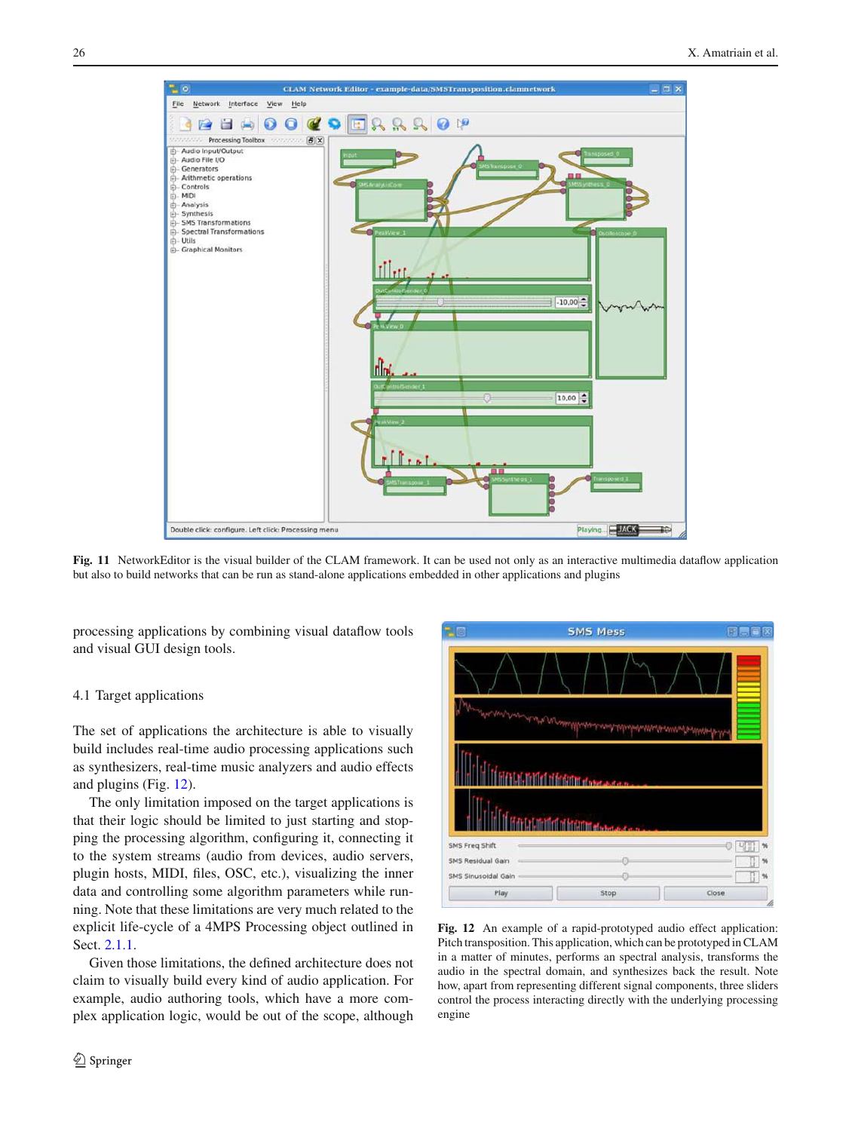同局

 $0$   $4$   $\frac{1}{2}$  %

 $\mathbb{R}$  %

Ū

Close



<span id="page-11-0"></span>**Fig. 11** NetworkEditor is the visual builder of the CLAM framework. It can be used not only as an interactive multimedia dataflow application but also to build networks that can be run as stand-alone applications embedded in other applications and plugins

processing applications by combining visual dataflow tools and visual GUI design tools.

## 4.1 Target applications

The set of applications the architecture is able to visually build includes real-time audio processing applications such as synthesizers, real-time music analyzers and audio effects and plugins (Fig. [12\)](#page-11-1).

The only limitation imposed on the target applications is that their logic should be limited to just starting and stopping the processing algorithm, configuring it, connecting it to the system streams (audio from devices, audio servers, plugin hosts, MIDI, files, OSC, etc.), visualizing the inner data and controlling some algorithm parameters while running. Note that these limitations are very much related to the explicit life-cycle of a 4MPS Processing object outlined in Sect. [2.1.1.](#page-3-0)

Given those limitations, the defined architecture does not claim to visually build every kind of audio application. For example, audio authoring tools, which have a more complex application logic, would be out of the scope, although

SMS Freq Shift SMS Residual Gair SMS Sinusoidal Gai Play Stop **Fig. 12** An example of a rapid-prototyped audio effect application: Pitch transposition. This application, which can be prototyped in CLAM in a matter of minutes, performs an spectral analysis, transforms the audio in the spectral domain, and synthesizes back the result. Note

engine

<span id="page-11-1"></span>how, apart from representing different signal components, three sliders control the process interacting directly with the underlying processing

**SMS Mess**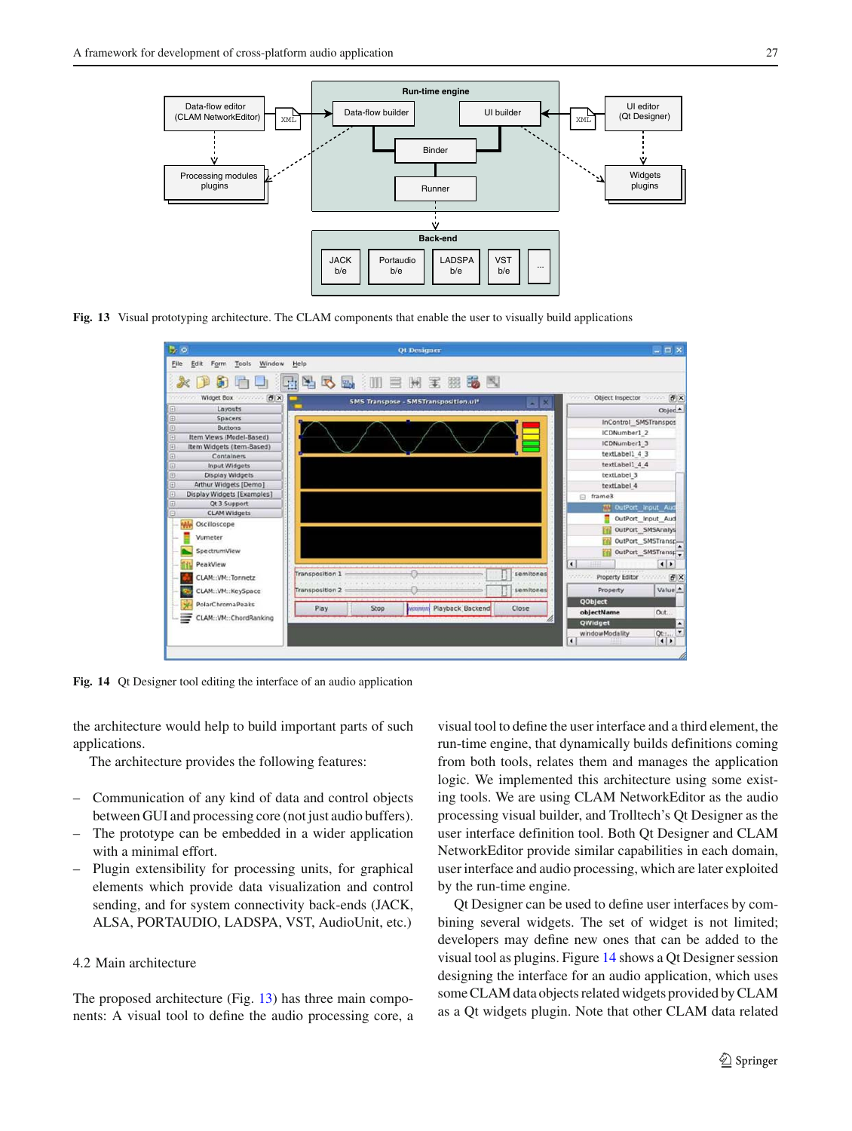

<span id="page-12-0"></span>**Fig. 13** Visual prototyping architecture. The CLAM components that enable the user to visually build applications

| 5.0                                  | <b>Ot Designer</b>                                    | $ \Box$ $\times$                                   |
|--------------------------------------|-------------------------------------------------------|----------------------------------------------------|
| Form Tools<br>Window<br>File<br>Edit | Help                                                  |                                                    |
|                                      | ₩ 実 競 議 國<br>5 四<br>3 III                             |                                                    |
| Widget Box<br><b>B</b> x<br>2222222  | SMS Transpose - SMSTransposition.ul*<br>$-1x$         |                                                    |
| Layouts<br>o                         |                                                       | $Object^*$                                         |
| ⊞<br><b>Spacers</b>                  |                                                       | InControl SMSTranspos                              |
| <b>Buttons</b><br>m                  |                                                       | ICDNumber1 2                                       |
| Item Views (Model-Based)<br>⊞        |                                                       | ICDNumber1 3                                       |
| Item Widgets (Item-Based)<br>⊕       |                                                       |                                                    |
| <b>Containers</b><br>Θ               |                                                       | textLabel1 4 3                                     |
| <b>Input Widgets</b><br>⊞            |                                                       | textLabel1 4 4                                     |
| <b>Display Widgets</b><br>⊕          |                                                       | textLabel 3                                        |
| Arthur Widgets [Demo]<br>⊕           |                                                       | textLabel 4                                        |
| Display Widgets [Examples]<br>o      |                                                       | 日 frame3                                           |
| Qt 3 Support                         |                                                       | <b>W.</b> OutPort Input Aud                        |
| <b>CLAM Widgets</b>                  |                                                       | OutPort Input Aud                                  |
| Oscilloscope                         |                                                       | <b>New OutPort SMSAnalys</b>                       |
| Vumeter                              |                                                       |                                                    |
|                                      |                                                       | OutPort SMSTransp-                                 |
| SpectrumView                         |                                                       | OutPort SMSTransp                                  |
| PeakView                             |                                                       | $\left  \cdot \right $<br>$\left  \cdot \right $   |
| CLAM::VM::Tonnetz                    | Transposition 1<br>semitones                          | Property Editor<br><b>B</b> X<br>www.              |
|                                      | semitones<br>Transposition 2                          | Value -                                            |
| CLAM::VM::KeySpace                   |                                                       | Property                                           |
| PolarChromaPeaks                     | Playback Backend<br>Play<br>Close<br>Stop<br>vicuumun | <b>QObject</b>                                     |
| CLAM::VM::ChordRanking               |                                                       | objectName<br>Out                                  |
|                                      |                                                       | QWidget<br>۰                                       |
|                                      |                                                       | ٠<br>windowModality<br>Qt:i                        |
|                                      |                                                       | $\left  \cdot \right $<br>$\overline{\phantom{a}}$ |

<span id="page-12-1"></span>**Fig. 14** Qt Designer tool editing the interface of an audio application

the architecture would help to build important parts of such applications.

The architecture provides the following features:

- Communication of any kind of data and control objects between GUI and processing core (not just audio buffers).
- The prototype can be embedded in a wider application with a minimal effort.
- Plugin extensibility for processing units, for graphical elements which provide data visualization and control sending, and for system connectivity back-ends (JACK, ALSA, PORTAUDIO, LADSPA, VST, AudioUnit, etc.)

## 4.2 Main architecture

The proposed architecture (Fig. [13\)](#page-12-0) has three main components: A visual tool to define the audio processing core, a visual tool to define the user interface and a third element, the run-time engine, that dynamically builds definitions coming from both tools, relates them and manages the application logic. We implemented this architecture using some existing tools. We are using CLAM NetworkEditor as the audio processing visual builder, and Trolltech's Qt Designer as the user interface definition tool. Both Qt Designer and CLAM NetworkEditor provide similar capabilities in each domain, user interface and audio processing, which are later exploited by the run-time engine.

Qt Designer can be used to define user interfaces by combining several widgets. The set of widget is not limited; developers may define new ones that can be added to the visual tool as plugins. Figure [14](#page-12-1) shows a Qt Designer session designing the interface for an audio application, which uses some CLAM data objects related widgets provided by CLAM as a Qt widgets plugin. Note that other CLAM data related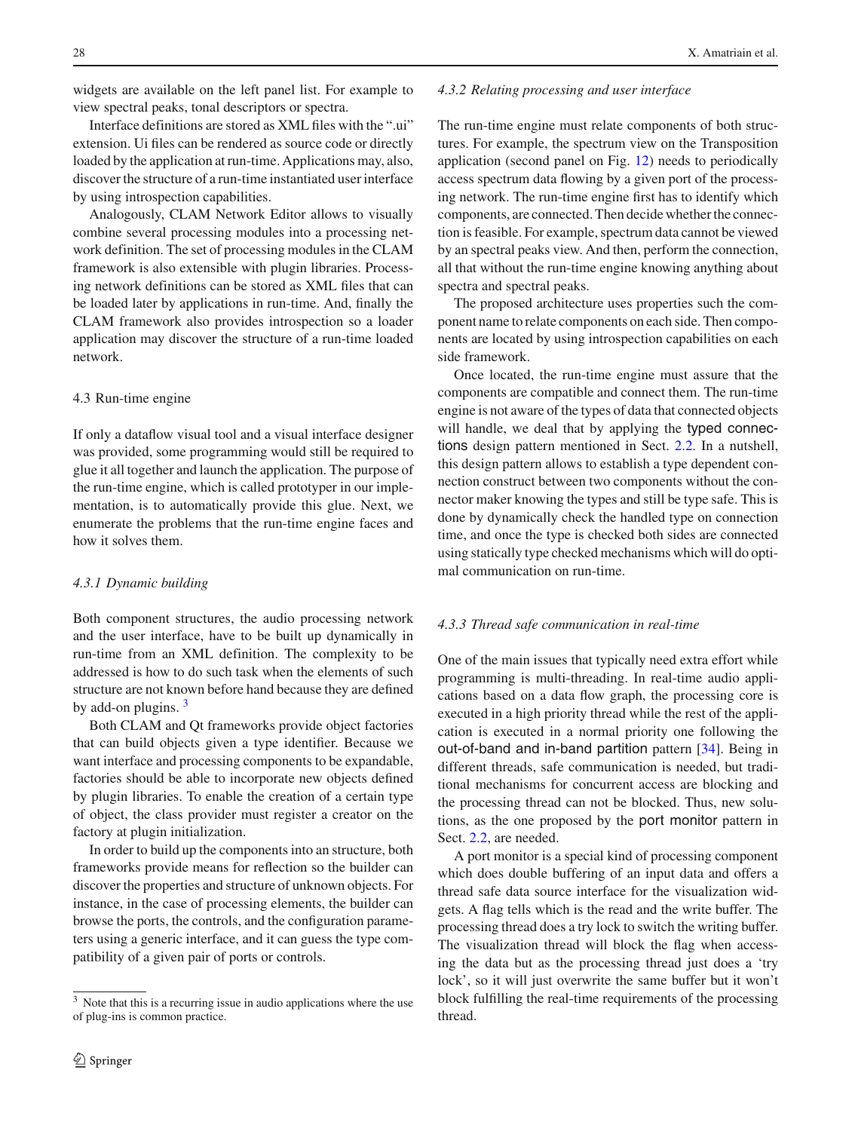widgets are available on the left panel list. For example to view spectral peaks, tonal descriptors or spectra.

Interface definitions are stored as XML files with the ".ui" extension. Ui files can be rendered as source code or directly loaded by the application at run-time. Applications may, also, discover the structure of a run-time instantiated user interface by using introspection capabilities.

Analogously, CLAM Network Editor allows to visually combine several processing modules into a processing network definition. The set of processing modules in the CLAM framework is also extensible with plugin libraries. Processing network definitions can be stored as XML files that can be loaded later by applications in run-time. And, finally the CLAM framework also provides introspection so a loader application may discover the structure of a run-time loaded network.

## 4.3 Run-time engine

If only a dataflow visual tool and a visual interface designer was provided, some programming would still be required to glue it all together and launch the application. The purpose of the run-time engine, which is called prototyper in our implementation, is to automatically provide this glue. Next, we enumerate the problems that the run-time engine faces and how it solves them.

## *4.3.1 Dynamic building*

Both component structures, the audio processing network and the user interface, have to be built up dynamically in run-time from an XML definition. The complexity to be addressed is how to do such task when the elements of such structure are not known before hand because they are defined by add-on plugins.  $3$ 

Both CLAM and Qt frameworks provide object factories that can build objects given a type identifier. Because we want interface and processing components to be expandable, factories should be able to incorporate new objects defined by plugin libraries. To enable the creation of a certain type of object, the class provider must register a creator on the factory at plugin initialization.

In order to build up the components into an structure, both frameworks provide means for reflection so the builder can discover the properties and structure of unknown objects. For instance, in the case of processing elements, the builder can browse the ports, the controls, and the configuration parameters using a generic interface, and it can guess the type compatibility of a given pair of ports or controls.

## *4.3.2 Relating processing and user interface*

The run-time engine must relate components of both structures. For example, the spectrum view on the Transposition application (second panel on Fig. [12\)](#page-11-1) needs to periodically access spectrum data flowing by a given port of the processing network. The run-time engine first has to identify which components, are connected. Then decide whether the connection is feasible. For example, spectrum data cannot be viewed by an spectral peaks view. And then, perform the connection, all that without the run-time engine knowing anything about spectra and spectral peaks.

The proposed architecture uses properties such the component name to relate components on each side. Then components are located by using introspection capabilities on each side framework.

Once located, the run-time engine must assure that the components are compatible and connect them. The run-time engine is not aware of the types of data that connected objects will handle, we deal that by applying the typed connections design pattern mentioned in Sect. [2.2.](#page-3-1) In a nutshell, this design pattern allows to establish a type dependent connection construct between two components without the connector maker knowing the types and still be type safe. This is done by dynamically check the handled type on connection time, and once the type is checked both sides are connected using statically type checked mechanisms which will do optimal communication on run-time.

#### *4.3.3 Thread safe communication in real-time*

One of the main issues that typically need extra effort while programming is multi-threading. In real-time audio applications based on a data flow graph, the processing core is executed in a high priority thread while the rest of the application is executed in a normal priority one following the out-of-band and in-band partition pattern [\[34](#page-16-8)]. Being in different threads, safe communication is needed, but traditional mechanisms for concurrent access are blocking and the processing thread can not be blocked. Thus, new solutions, as the one proposed by the port monitor pattern in Sect. [2.2,](#page-3-1) are needed.

A port monitor is a special kind of processing component which does double buffering of an input data and offers a thread safe data source interface for the visualization widgets. A flag tells which is the read and the write buffer. The processing thread does a try lock to switch the writing buffer. The visualization thread will block the flag when accessing the data but as the processing thread just does a 'try lock', so it will just overwrite the same buffer but it won't block fulfilling the real-time requirements of the processing thread.

<span id="page-13-0"></span><sup>&</sup>lt;sup>3</sup> Note that this is a recurring issue in audio applications where the use of plug-ins is common practice.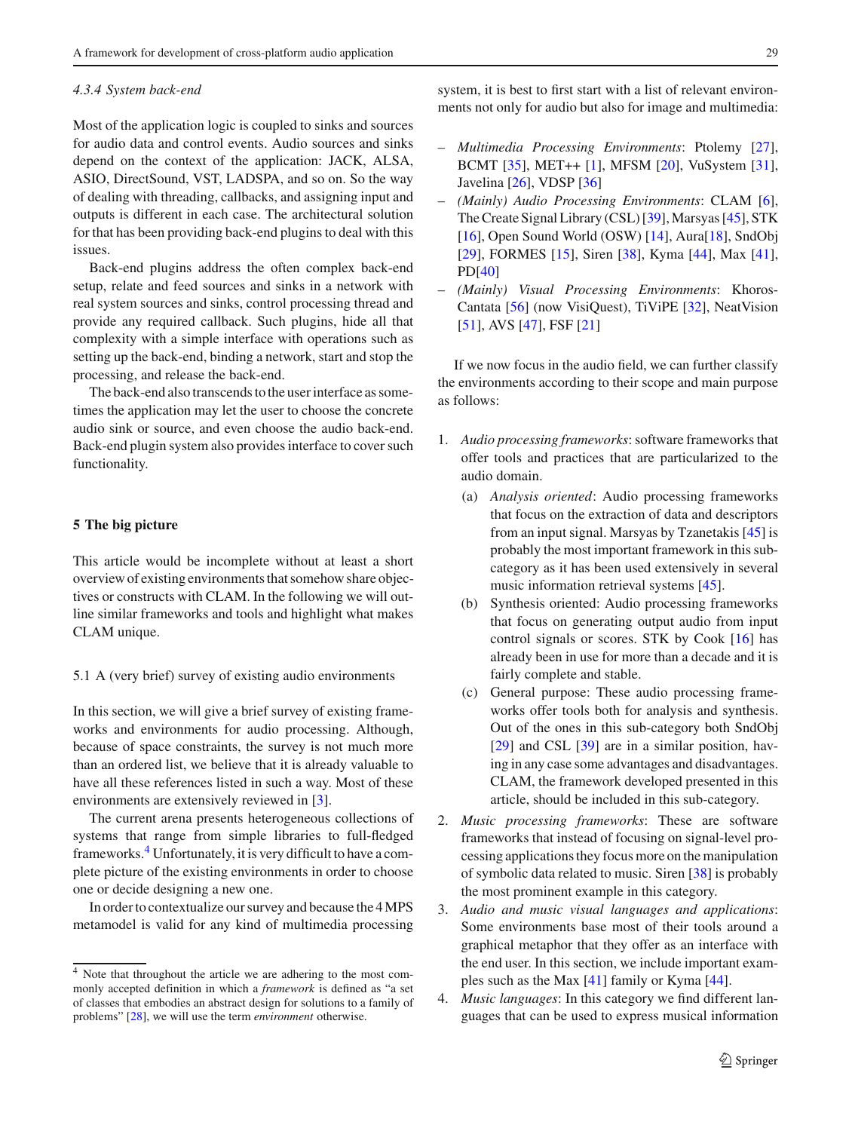## *4.3.4 System back-end*

Most of the application logic is coupled to sinks and sources for audio data and control events. Audio sources and sinks depend on the context of the application: JACK, ALSA, ASIO, DirectSound, VST, LADSPA, and so on. So the way of dealing with threading, callbacks, and assigning input and outputs is different in each case. The architectural solution for that has been providing back-end plugins to deal with this issues.

Back-end plugins address the often complex back-end setup, relate and feed sources and sinks in a network with real system sources and sinks, control processing thread and provide any required callback. Such plugins, hide all that complexity with a simple interface with operations such as setting up the back-end, binding a network, start and stop the processing, and release the back-end.

The back-end also transcends to the user interface as sometimes the application may let the user to choose the concrete audio sink or source, and even choose the audio back-end. Back-end plugin system also provides interface to cover such functionality.

## <span id="page-14-0"></span>**5 The big picture**

This article would be incomplete without at least a short overview of existing environments that somehow share objectives or constructs with CLAM. In the following we will outline similar frameworks and tools and highlight what makes CLAM unique.

## 5.1 A (very brief) survey of existing audio environments

In this section, we will give a brief survey of existing frameworks and environments for audio processing. Although, because of space constraints, the survey is not much more than an ordered list, we believe that it is already valuable to have all these references listed in such a way. Most of these environments are extensively reviewed in [\[3](#page-15-2)].

The current arena presents heterogeneous collections of systems that range from simple libraries to full-fledged frameworks.<sup>[4](#page-14-1)</sup> Unfortunately, it is very difficult to have a complete picture of the existing environments in order to choose one or decide designing a new one.

In order to contextualize our survey and because the 4MPS metamodel is valid for any kind of multimedia processing system, it is best to first start with a list of relevant environments not only for audio but also for image and multimedia:

- *Multimedia Processing Environments*: Ptolemy [\[27](#page-16-19)], BCMT [\[35\]](#page-16-20), MET++ [\[1\]](#page-15-6), MFSM [\[20](#page-16-21)], VuSystem [\[31](#page-16-22)], Javelina [\[26](#page-16-23)], VDSP [\[36\]](#page-16-24)
- *(Mainly) Audio Processing Environments*: CLAM [\[6](#page-15-7)], The Create Signal Library (CSL) [\[39](#page-16-25)], Marsyas [\[45](#page-16-26)], STK [\[16](#page-16-27)], Open Sound World (OSW) [\[14](#page-16-17)], Aura[\[18\]](#page-16-28), SndObj [\[29](#page-16-29)], FORMES [\[15\]](#page-16-30), Siren [\[38](#page-16-31)], Kyma [\[44\]](#page-16-32), Max [\[41](#page-16-33)], PD[\[40](#page-16-15)]
- *(Mainly) Visual Processing Environments*: Khoros-Cantata [\[56\]](#page-17-4) (now VisiQuest), TiViPE [\[32\]](#page-16-34), NeatVision [\[51](#page-17-5)], AVS [\[47\]](#page-16-35), FSF [\[21\]](#page-16-36)

If we now focus in the audio field, we can further classify the environments according to their scope and main purpose as follows:

- 1. *Audio processing frameworks*: software frameworks that offer tools and practices that are particularized to the audio domain.
	- (a) *Analysis oriented*: Audio processing frameworks that focus on the extraction of data and descriptors from an input signal. Marsyas by Tzanetakis [\[45](#page-16-26)] is probably the most important framework in this subcategory as it has been used extensively in several music information retrieval systems [\[45](#page-16-26)].
	- (b) Synthesis oriented: Audio processing frameworks that focus on generating output audio from input control signals or scores. STK by Cook [\[16\]](#page-16-27) has already been in use for more than a decade and it is fairly complete and stable.
	- (c) General purpose: These audio processing frameworks offer tools both for analysis and synthesis. Out of the ones in this sub-category both SndObj [\[29](#page-16-29)] and CSL [\[39\]](#page-16-25) are in a similar position, having in any case some advantages and disadvantages. CLAM, the framework developed presented in this article, should be included in this sub-category.
- 2. *Music processing frameworks*: These are software frameworks that instead of focusing on signal-level processing applications they focus more on the manipulation of symbolic data related to music. Siren [\[38\]](#page-16-31) is probably the most prominent example in this category.
- 3. *Audio and music visual languages and applications*: Some environments base most of their tools around a graphical metaphor that they offer as an interface with the end user. In this section, we include important examples such as the Max [\[41](#page-16-33)] family or Kyma [\[44](#page-16-32)].
- 4. *Music languages*: In this category we find different languages that can be used to express musical information

<span id="page-14-1"></span> $4$  Note that throughout the article we are adhering to the most commonly accepted definition in which a *framework* is defined as "a set of classes that embodies an abstract design for solutions to a family of problems" [\[28\]](#page-16-18), we will use the term *environment* otherwise.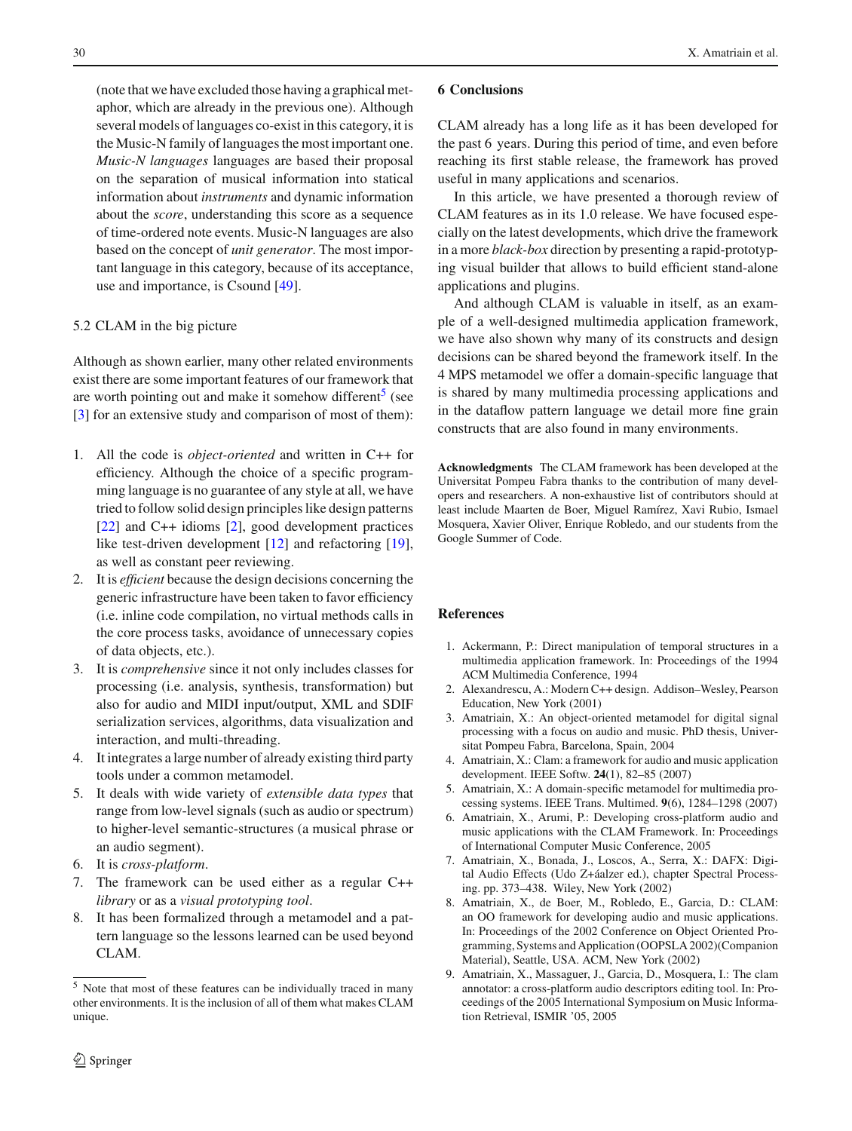(note that we have excluded those having a graphical metaphor, which are already in the previous one). Although several models of languages co-exist in this category, it is the Music-N family of languages the most important one. *Music-N languages* languages are based their proposal on the separation of musical information into statical information about *instruments* and dynamic information about the *score*, understanding this score as a sequence of time-ordered note events. Music-N languages are also based on the concept of *unit generator*. The most important language in this category, because of its acceptance, use and importance, is Csound [\[49](#page-16-37)].

# 5.2 CLAM in the big picture

Although as shown earlier, many other related environments exist there are some important features of our framework that are worth pointing out and make it somehow different<sup>5</sup> (see [\[3](#page-15-2)] for an extensive study and comparison of most of them):

- 1. All the code is *object-oriented* and written in C++ for efficiency. Although the choice of a specific programming language is no guarantee of any style at all, we have tried to follow solid design principles like design patterns [\[22\]](#page-16-38) and C++ idioms [\[2](#page-15-9)], good development practices like test-driven development [\[12\]](#page-16-39) and refactoring [\[19](#page-16-40)], as well as constant peer reviewing.
- 2. It is *efficient* because the design decisions concerning the generic infrastructure have been taken to favor efficiency (i.e. inline code compilation, no virtual methods calls in the core process tasks, avoidance of unnecessary copies of data objects, etc.).
- 3. It is *comprehensive* since it not only includes classes for processing (i.e. analysis, synthesis, transformation) but also for audio and MIDI input/output, XML and SDIF serialization services, algorithms, data visualization and interaction, and multi-threading.
- 4. It integrates a large number of already existing third party tools under a common metamodel.
- 5. It deals with wide variety of *extensible data types* that range from low-level signals (such as audio or spectrum) to higher-level semantic-structures (a musical phrase or an audio segment).
- 6. It is *cross-platform*.
- 7. The framework can be used either as a regular C++ *library* or as a *visual prototyping tool*.
- 8. It has been formalized through a metamodel and a pattern language so the lessons learned can be used beyond CLAM.

#### **6 Conclusions**

CLAM already has a long life as it has been developed for the past 6 years. During this period of time, and even before reaching its first stable release, the framework has proved useful in many applications and scenarios.

In this article, we have presented a thorough review of CLAM features as in its 1.0 release. We have focused especially on the latest developments, which drive the framework in a more *black-box* direction by presenting a rapid-prototyping visual builder that allows to build efficient stand-alone applications and plugins.

And although CLAM is valuable in itself, as an example of a well-designed multimedia application framework, we have also shown why many of its constructs and design decisions can be shared beyond the framework itself. In the 4 MPS metamodel we offer a domain-specific language that is shared by many multimedia processing applications and in the dataflow pattern language we detail more fine grain constructs that are also found in many environments.

**Acknowledgments** The CLAM framework has been developed at the Universitat Pompeu Fabra thanks to the contribution of many developers and researchers. A non-exhaustive list of contributors should at least include Maarten de Boer, Miguel Ramírez, Xavi Rubio, Ismael Mosquera, Xavier Oliver, Enrique Robledo, and our students from the Google Summer of Code.

## <span id="page-15-6"></span>**References**

- 1. Ackermann, P.: Direct manipulation of temporal structures in a multimedia application framework. In: Proceedings of the 1994 ACM Multimedia Conference, 1994
- <span id="page-15-9"></span>2. Alexandrescu, A.: Modern C++ design. Addison–Wesley, Pearson Education, New York (2001)
- <span id="page-15-2"></span>3. Amatriain, X.: An object-oriented metamodel for digital signal processing with a focus on audio and music. PhD thesis, Universitat Pompeu Fabra, Barcelona, Spain, 2004
- <span id="page-15-0"></span>Amatriain, X.: Clam: a framework for audio and music application development. IEEE Softw. **24**(1), 82–85 (2007)
- <span id="page-15-3"></span>5. Amatriain, X.: A domain-specific metamodel for multimedia processing systems. IEEE Trans. Multimed. **9**(6), 1284–1298 (2007)
- <span id="page-15-7"></span>6. Amatriain, X., Arumi, P.: Developing cross-platform audio and music applications with the CLAM Framework. In: Proceedings of International Computer Music Conference, 2005
- <span id="page-15-4"></span>7. Amatriain, X., Bonada, J., Loscos, A., Serra, X.: DAFX: Digital Audio Effects (Udo Z+áalzer ed.), chapter Spectral Processing. pp. 373–438. Wiley, New York (2002)
- <span id="page-15-1"></span>8. Amatriain, X., de Boer, M., Robledo, E., Garcia, D.: CLAM: an OO framework for developing audio and music applications. In: Proceedings of the 2002 Conference on Object Oriented Programming, Systems and Application (OOPSLA 2002)(Companion Material), Seattle, USA. ACM, New York (2002)
- <span id="page-15-5"></span>9. Amatriain, X., Massaguer, J., Garcia, D., Mosquera, I.: The clam annotator: a cross-platform audio descriptors editing tool. In: Proceedings of the 2005 International Symposium on Music Information Retrieval, ISMIR '05, 2005

<span id="page-15-8"></span><sup>5</sup> Note that most of these features can be individually traced in many other environments. It is the inclusion of all of them what makes CLAM unique.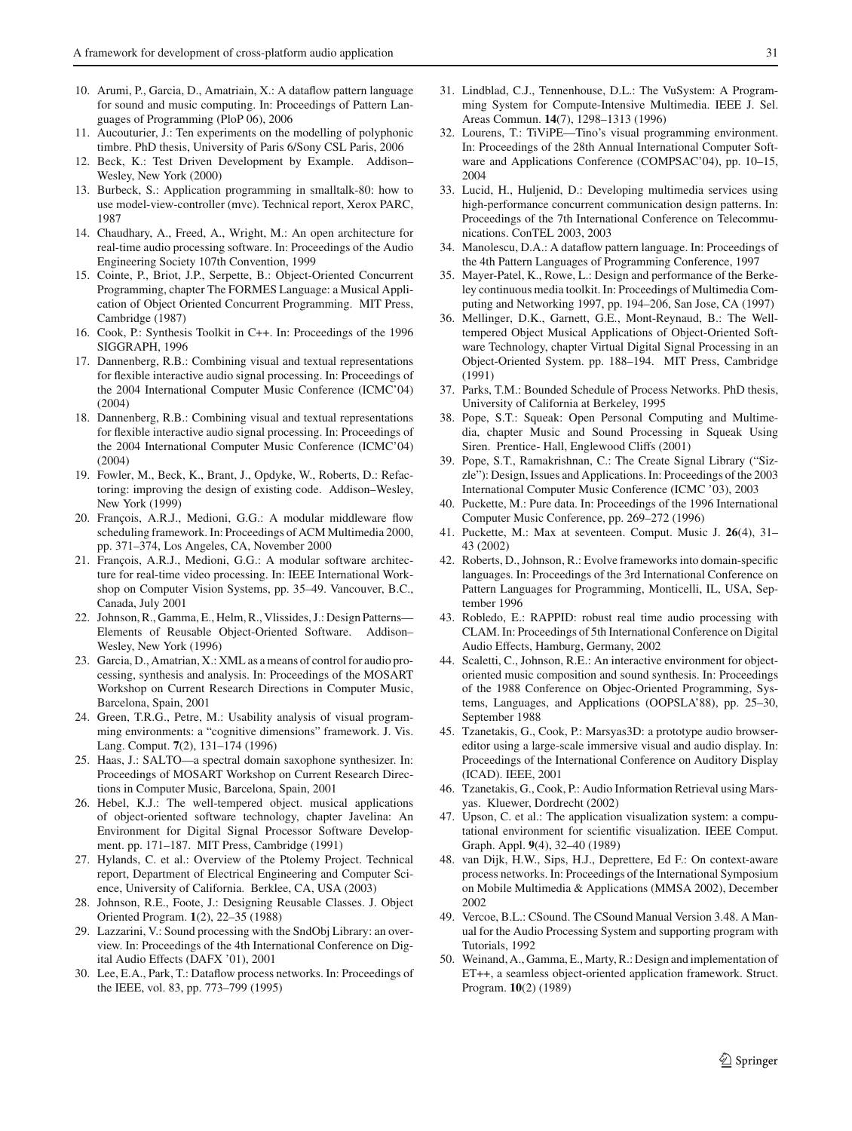- <span id="page-16-9"></span>10. Arumi, P., Garcia, D., Amatriain, X.: A dataflow pattern language for sound and music computing. In: Proceedings of Pattern Languages of Programming (PloP 06), 2006
- <span id="page-16-6"></span>11. Aucouturier, J.: Ten experiments on the modelling of polyphonic timbre. PhD thesis, University of Paris 6/Sony CSL Paris, 2006
- <span id="page-16-39"></span>12. Beck, K.: Test Driven Development by Example. Addison– Wesley, New York (2000)
- <span id="page-16-0"></span>13. Burbeck, S.: Application programming in smalltalk-80: how to use model-view-controller (mvc). Technical report, Xerox PARC, 1987
- <span id="page-16-17"></span>14. Chaudhary, A., Freed, A., Wright, M.: An open architecture for real-time audio processing software. In: Proceedings of the Audio Engineering Society 107th Convention, 1999
- <span id="page-16-30"></span>15. Cointe, P., Briot, J.P., Serpette, B.: Object-Oriented Concurrent Programming, chapter The FORMES Language: a Musical Application of Object Oriented Concurrent Programming. MIT Press, Cambridge (1987)
- <span id="page-16-27"></span>16. Cook, P.: Synthesis Toolkit in C++. In: Proceedings of the 1996 SIGGRAPH, 1996
- <span id="page-16-4"></span>17. Dannenberg, R.B.: Combining visual and textual representations for flexible interactive audio signal processing. In: Proceedings of the 2004 International Computer Music Conference (ICMC'04) (2004)
- <span id="page-16-28"></span>18. Dannenberg, R.B.: Combining visual and textual representations for flexible interactive audio signal processing. In: Proceedings of the 2004 International Computer Music Conference (ICMC'04) (2004)
- <span id="page-16-40"></span>19. Fowler, M., Beck, K., Brant, J., Opdyke, W., Roberts, D.: Refactoring: improving the design of existing code. Addison–Wesley, New York (1999)
- <span id="page-16-21"></span>20. François, A.R.J., Medioni, G.G.: A modular middleware flow scheduling framework. In: Proceedings of ACM Multimedia 2000, pp. 371–374, Los Angeles, CA, November 2000
- <span id="page-16-36"></span>21. François, A.R.J., Medioni, G.G.: A modular software architecture for real-time video processing. In: IEEE International Workshop on Computer Vision Systems, pp. 35–49. Vancouver, B.C., Canada, July 2001
- <span id="page-16-38"></span>22. Johnson, R., Gamma, E., Helm, R., Vlissides, J.: Design Patterns— Elements of Reusable Object-Oriented Software. Addison– Wesley, New York (1996)
- <span id="page-16-11"></span>23. Garcia, D., Amatrian, X.: XML as a means of control for audio processing, synthesis and analysis. In: Proceedings of the MOSART Workshop on Current Research Directions in Computer Music, Barcelona, Spain, 2001
- <span id="page-16-14"></span>24. Green, T.R.G., Petre, M.: Usability analysis of visual programming environments: a "cognitive dimensions" framework. J. Vis. Lang. Comput. **7**(2), 131–174 (1996)
- <span id="page-16-12"></span>25. Haas, J.: SALTO—a spectral domain saxophone synthesizer. In: Proceedings of MOSART Workshop on Current Research Directions in Computer Music, Barcelona, Spain, 2001
- <span id="page-16-23"></span>26. Hebel, K.J.: The well-tempered object. musical applications of object-oriented software technology, chapter Javelina: An Environment for Digital Signal Processor Software Development. pp. 171–187. MIT Press, Cambridge (1991)
- <span id="page-16-19"></span>27. Hylands, C. et al.: Overview of the Ptolemy Project. Technical report, Department of Electrical Engineering and Computer Science, University of California. Berklee, CA, USA (2003)
- <span id="page-16-18"></span>28. Johnson, R.E., Foote, J.: Designing Reusable Classes. J. Object Oriented Program. **1**(2), 22–35 (1988)
- <span id="page-16-29"></span>29. Lazzarini, V.: Sound processing with the SndObj Library: an overview. In: Proceedings of the 4th International Conference on Digital Audio Effects (DAFX '01), 2001
- <span id="page-16-2"></span>30. Lee, E.A., Park, T.: Dataflow process networks. In: Proceedings of the IEEE, vol. 83, pp. 773–799 (1995)
- <span id="page-16-22"></span>31. Lindblad, C.J., Tennenhouse, D.L.: The VuSystem: A Programming System for Compute-Intensive Multimedia. IEEE J. Sel. Areas Commun. **14**(7), 1298–1313 (1996)
- <span id="page-16-34"></span>32. Lourens, T.: TiViPE—Tino's visual programming environment. In: Proceedings of the 28th Annual International Computer Software and Applications Conference (COMPSAC'04), pp. 10–15, 2004
- <span id="page-16-7"></span>33. Lucid, H., Huljenid, D.: Developing multimedia services using high-performance concurrent communication design patterns. In: Proceedings of the 7th International Conference on Telecommunications. ConTEL 2003, 2003
- <span id="page-16-8"></span>34. Manolescu, D.A.: A dataflow pattern language. In: Proceedings of the 4th Pattern Languages of Programming Conference, 1997
- <span id="page-16-20"></span>35. Mayer-Patel, K., Rowe, L.: Design and performance of the Berkeley continuous media toolkit. In: Proceedings of Multimedia Computing and Networking 1997, pp. 194–206, San Jose, CA (1997)
- <span id="page-16-24"></span>36. Mellinger, D.K., Garnett, G.E., Mont-Reynaud, B.: The Welltempered Object Musical Applications of Object-Oriented Software Technology, chapter Virtual Digital Signal Processing in an Object-Oriented System. pp. 188–194. MIT Press, Cambridge (1991)
- <span id="page-16-5"></span>37. Parks, T.M.: Bounded Schedule of Process Networks. PhD thesis, University of California at Berkeley, 1995
- <span id="page-16-31"></span>38. Pope, S.T.: Squeak: Open Personal Computing and Multimedia, chapter Music and Sound Processing in Squeak Using Siren. Prentice- Hall, Englewood Cliffs (2001)
- <span id="page-16-25"></span>39. Pope, S.T., Ramakrishnan, C.: The Create Signal Library ("Sizzle"): Design, Issues and Applications. In: Proceedings of the 2003 International Computer Music Conference (ICMC '03), 2003
- <span id="page-16-15"></span>40. Puckette, M.: Pure data. In: Proceedings of the 1996 International Computer Music Conference, pp. 269–272 (1996)
- <span id="page-16-33"></span>41. Puckette, M.: Max at seventeen. Comput. Music J. **26**(4), 31– 43 (2002)
- <span id="page-16-10"></span>42. Roberts, D., Johnson, R.: Evolve frameworks into domain-specific languages. In: Proceedings of the 3rd International Conference on Pattern Languages for Programming, Monticelli, IL, USA, September 1996
- <span id="page-16-13"></span>43. Robledo, E.: RAPPID: robust real time audio processing with CLAM. In: Proceedings of 5th International Conference on Digital Audio Effects, Hamburg, Germany, 2002
- <span id="page-16-32"></span>44. Scaletti, C., Johnson, R.E.: An interactive environment for objectoriented music composition and sound synthesis. In: Proceedings of the 1988 Conference on Objec-Oriented Programming, Systems, Languages, and Applications (OOPSLA'88), pp. 25–30, September 1988
- <span id="page-16-26"></span>45. Tzanetakis, G., Cook, P.: Marsyas3D: a prototype audio browsereditor using a large-scale immersive visual and audio display. In: Proceedings of the International Conference on Auditory Display (ICAD). IEEE, 2001
- <span id="page-16-16"></span>46. Tzanetakis, G., Cook, P.: Audio Information Retrieval using Marsyas. Kluewer, Dordrecht (2002)
- <span id="page-16-35"></span>47. Upson, C. et al.: The application visualization system: a computational environment for scientific visualization. IEEE Comput. Graph. Appl. **9**(4), 32–40 (1989)
- <span id="page-16-3"></span>48. van Dijk, H.W., Sips, H.J., Deprettere, Ed F.: On context-aware process networks. In: Proceedings of the International Symposium on Mobile Multimedia & Applications (MMSA 2002), December 2002
- <span id="page-16-37"></span>49. Vercoe, B.L.: CSound. The CSound Manual Version 3.48. A Manual for the Audio Processing System and supporting program with Tutorials, 1992
- <span id="page-16-1"></span>50. Weinand, A., Gamma, E., Marty, R.: Design and implementation of ET++, a seamless object-oriented application framework. Struct. Program. **10**(2) (1989)